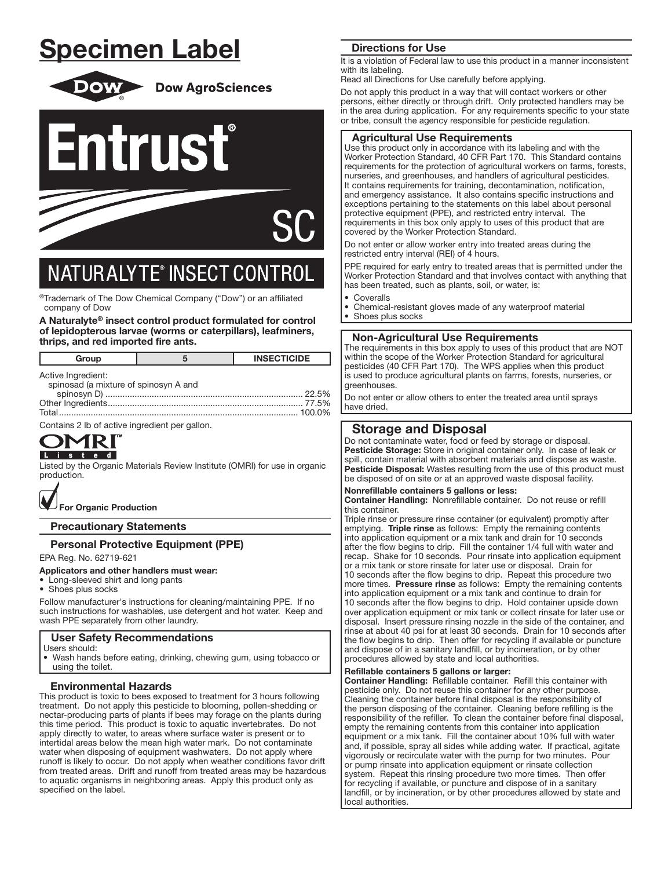# Specimen Label



**Dow AgroSciences** 





# **NATURALYTE® INSECT CONTROL**

í ®Trademark of The Dow Chemical Company ("Dow") or an affiliated company of Dow

A Naturalyte® insect control product formulated for control of lepidopterous larvae (worms or caterpillars), leafminers, thrips, and red imported fire ants.

| Group                                                       |  | <b>INSECTICIDE</b> |
|-------------------------------------------------------------|--|--------------------|
| Active Ingredient:<br>spinosad (a mixture of spinosyn A and |  |                    |
|                                                             |  | . 100.0%           |

Contains 2 lb of active ingredient per gallon.

Listed by the Organic Materials Review Institute (OMRI) for use in organic production.



Precautionary Statements

## Personal Protective Equipment (PPE)

EPA Reg. No. 62719-621

### Applicators and other handlers must wear:

- Long-sleeved shirt and long pants
- Shoes plus socks

Follow manufacturer's instructions for cleaning/maintaining PPE. If no such instructions for washables, use detergent and hot water. Keep and wash PPE separately from other laundry.

## User Safety Recommendations

- Users should:
- Wash hands before eating, drinking, chewing gum, using tobacco or using the toilet.

## Environmental Hazards

This product is toxic to bees exposed to treatment for 3 hours following treatment. Do not apply this pesticide to blooming, pollen-shedding or nectar-producing parts of plants if bees may forage on the plants during this time period. This product is toxic to aquatic invertebrates. Do not apply directly to water, to areas where surface water is present or to intertidal areas below the mean high water mark. Do not contaminate water when disposing of equipment washwaters. Do not apply where runoff is likely to occur. Do not apply when weather conditions favor drift from treated areas. Drift and runoff from treated areas may be hazardous to aquatic organisms in neighboring areas. Apply this product only as specified on the label.

## Directions for Use

It is a violation of Federal law to use this product in a manner inconsistent with its labeling.

Read all Directions for Use carefully before applying.

Do not apply this product in a way that will contact workers or other persons, either directly or through drift. Only protected handlers may be in the area during application. For any requirements specific to your state or tribe, consult the agency responsible for pesticide regulation.

### Agricultural Use Requirements

Use this product only in accordance with its labeling and with the Worker Protection Standard, 40 CFR Part 170. This Standard contains requirements for the protection of agricultural workers on farms, forests, nurseries, and greenhouses, and handlers of agricultural pesticides. It contains requirements for training, decontamination, notification, and emergency assistance. It also contains specific instructions and exceptions pertaining to the statements on this label about personal protective equipment (PPE), and restricted entry interval. The requirements in this box only apply to uses of this product that are covered by the Worker Protection Standard.

Do not enter or allow worker entry into treated areas during the restricted entry interval (REI) of 4 hours.

PPE required for early entry to treated areas that is permitted under the Worker Protection Standard and that involves contact with anything that has been treated, such as plants, soil, or water, is:

- Coveralls
- Chemical-resistant gloves made of any waterproof material<br>• Shoes plus socks Shoes plus socks

## Non-Agricultural Use Requirements

The requirements in this box apply to uses of this product that are NOT within the scope of the Worker Protection Standard for agricultural pesticides (40 CFR Part 170). The WPS applies when this product is used to produce agricultural plants on farms, forests, nurseries, or greenhouses.

Do not enter or allow others to enter the treated area until sprays have dried. Ļ

## Storage and Disposal

Do not contaminate water, food or feed by storage or disposal. Pesticide Storage: Store in original container only. In case of leak or spill, contain material with absorbent materials and dispose as waste. Pesticide Disposal: Wastes resulting from the use of this product must be disposed of on site or at an approved waste disposal facility.

### Nonrefillable containers 5 gallons or less:

Container Handling: Nonrefillable container. Do not reuse or refill this container.

Triple rinse or pressure rinse container (or equivalent) promptly after emptying. Triple rinse as follows: Empty the remaining contents into application equipment or a mix tank and drain for 10 seconds after the flow begins to drip. Fill the container 1/4 full with water and recap. Shake for 10 seconds. Pour rinsate into application equipment or a mix tank or store rinsate for later use or disposal. Drain for 10 seconds after the flow begins to drip. Repeat this procedure two more times. Pressure rinse as follows: Empty the remaining contents into application equipment or a mix tank and continue to drain for 10 seconds after the flow begins to drip. Hold container upside down over application equipment or mix tank or collect rinsate for later use or disposal. Insert pressure rinsing nozzle in the side of the container, and rinse at about 40 psi for at least 30 seconds. Drain for 10 seconds after the flow begins to drip. Then offer for recycling if available or puncture and dispose of in a sanitary landfill, or by incineration, or by other procedures allowed by state and local authorities.

### Refillable containers 5 gallons or larger:

Ļ

Container Handling: Refillable container. Refill this container with pesticide only. Do not reuse this container for any other purpose. Cleaning the container before final disposal is the responsibility of the person disposing of the container. Cleaning before refilling is the responsibility of the refiller. To clean the container before final disposal, empty the remaining contents from this container into application equipment or a mix tank. Fill the container about 10% full with water and, if possible, spray all sides while adding water. If practical, agitate vigorously or recirculate water with the pump for two minutes. Pour or pump rinsate into application equipment or rinsate collection system. Repeat this rinsing procedure two more times. Then offer for recycling if available, or puncture and dispose of in a sanitary landfill, or by incineration, or by other procedures allowed by state and local authorities.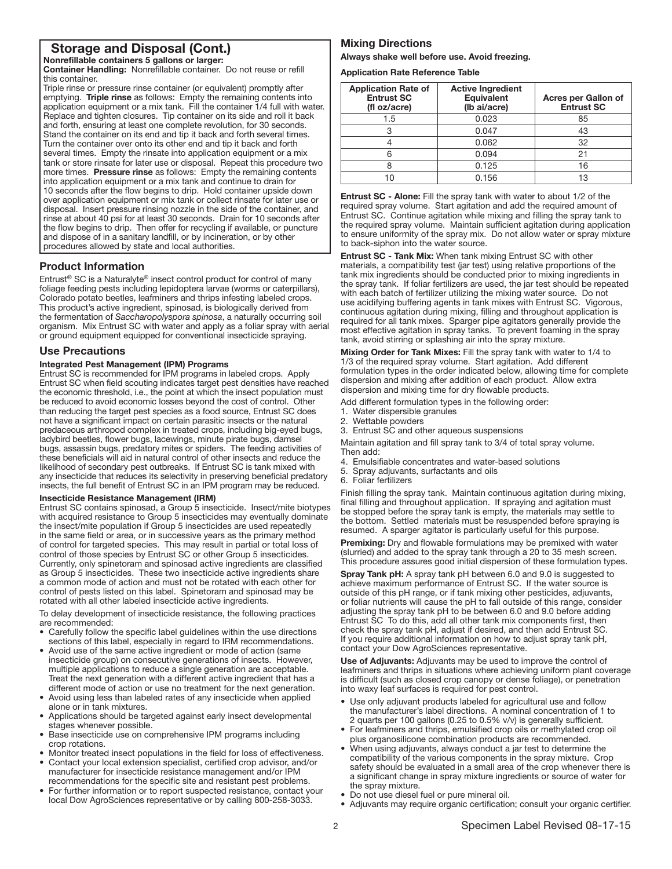## Storage and Disposal (Cont.)

Nonrefillable containers 5 gallons or larger: Container Handling: Nonrefillable container. Do not reuse or refill this container.

Triple rinse or pressure rinse container (or equivalent) promptly after emptying. Triple rinse as follows: Empty the remaining contents into application equipment or a mix tank. Fill the container 1/4 full with water. Replace and tighten closures. Tip container on its side and roll it back and forth, ensuring at least one complete revolution, for 30 seconds. Stand the container on its end and tip it back and forth several times. Turn the container over onto its other end and tip it back and forth several times. Empty the rinsate into application equipment or a mix tank or store rinsate for later use or disposal. Repeat this procedure two more times. Pressure rinse as follows: Empty the remaining contents into application equipment or a mix tank and continue to drain for 10 seconds after the flow begins to drip. Hold container upside down over application equipment or mix tank or collect rinsate for later use or disposal. Insert pressure rinsing nozzle in the side of the container, and rinse at about 40 psi for at least 30 seconds. Drain for 10 seconds after the flow begins to drip. Then offer for recycling if available, or puncture and dispose of in a sanitary landfill, or by incineration, or by other procedures allowed by state and local authorities.

## Product Information

Ļ

Entrust® SC is a Naturalyte® insect control product for control of many foliage feeding pests including lepidoptera larvae (worms or caterpillars), Colorado potato beetles, leafminers and thrips infesting labeled crops. This product's active ingredient, spinosad, is biologically derived from the fermentation of *Saccharopolyspora spinosa*, a naturally occurring soil organism. Mix Entrust SC with water and apply as a foliar spray with aerial or ground equipment equipped for conventional insecticide spraying.

### Use Precautions

### Integrated Pest Management (IPM) Programs

Entrust SC is recommended for IPM programs in labeled crops. Apply Entrust SC when field scouting indicates target pest densities have reached the economic threshold, i.e., the point at which the insect population must be reduced to avoid economic losses beyond the cost of control. Other than reducing the target pest species as a food source, Entrust SC does not have a significant impact on certain parasitic insects or the natural predaceous arthropod complex in treated crops, including big-eyed bugs, ladybird beetles, flower bugs, lacewings, minute pirate bugs, damsel bugs, assassin bugs, predatory mites or spiders. The feeding activities of these beneficials will aid in natural control of other insects and reduce the likelihood of secondary pest outbreaks. If Entrust SC is tank mixed with any insecticide that reduces its selectivity in preserving beneficial predatory insects, the full benefit of Entrust SC in an IPM program may be reduced.

### Insecticide Resistance Management (IRM)

Entrust SC contains spinosad, a Group 5 insecticide. Insect/mite biotypes with acquired resistance to Group 5 insecticides may eventually dominate the insect/mite population if Group 5 insecticides are used repeatedly in the same field or area, or in successive years as the primary method of control for targeted species. This may result in partial or total loss of control of those species by Entrust SC or other Group 5 insecticides. Currently, only spinetoram and spinosad active ingredients are classified as Group 5 insecticides. These two insecticide active ingredients share a common mode of action and must not be rotated with each other for control of pests listed on this label. Spinetoram and spinosad may be rotated with all other labeled insecticide active ingredients.

To delay development of insecticide resistance, the following practices are recommended:

- Carefully follow the specific label guidelines within the use directions sections of this label, especially in regard to IRM recommendations.
- Avoid use of the same active ingredient or mode of action (same insecticide group) on consecutive generations of insects. However, multiple applications to reduce a single generation are acceptable. Treat the next generation with a different active ingredient that has a different mode of action or use no treatment for the next generation.
- Avoid using less than labeled rates of any insecticide when applied alone or in tank mixtures.
- Applications should be targeted against early insect developmental stages whenever possible.
- Base insecticide use on comprehensive IPM programs including crop rotations.
- Monitor treated insect populations in the field for loss of effectiveness. • Contact your local extension specialist, certified crop advisor, and/or manufacturer for insecticide resistance management and/or IPM
- recommendations for the specific site and resistant pest problems. • For further information or to report suspected resistance, contact your
- local Dow AgroSciences representative or by calling 800-258-3033.

### Mixing Directions

Always shake well before use. Avoid freezing.

Application Rate Reference Table

| <b>Application Rate of</b><br><b>Entrust SC</b><br>(fl oz/acre) | <b>Active Ingredient</b><br><b>Equivalent</b><br>(Ib ai/acre) | <b>Acres per Gallon of</b><br><b>Entrust SC</b> |
|-----------------------------------------------------------------|---------------------------------------------------------------|-------------------------------------------------|
| 1.5                                                             | 0.023                                                         | 85                                              |
| 3                                                               | 0.047                                                         | 43                                              |
|                                                                 | 0.062                                                         | 32                                              |
| հ                                                               | 0.094                                                         | 21                                              |
|                                                                 | 0.125                                                         | 16                                              |
| 10                                                              | 0.156                                                         | 13                                              |

٦ Entrust SC - Alone: Fill the spray tank with water to about 1/2 of the required spray volume. Start agitation and add the required amount of Entrust SC. Continue agitation while mixing and filling the spray tank to the required spray volume. Maintain sufficient agitation during application to ensure uniformity of the spray mix. Do not allow water or spray mixture to back-siphon into the water source.

Entrust SC - Tank Mix: When tank mixing Entrust SC with other materials, a compatibility test (jar test) using relative proportions of the tank mix ingredients should be conducted prior to mixing ingredients in the spray tank. If foliar fertilizers are used, the jar test should be repeated with each batch of fertilizer utilizing the mixing water source. Do not use acidifying buffering agents in tank mixes with Entrust SC. Vigorous, continuous agitation during mixing, filling and throughout application is required for all tank mixes. Sparger pipe agitators generally provide the most effective agitation in spray tanks. To prevent foaming in the spray tank, avoid stirring or splashing air into the spray mixture.

Mixing Order for Tank Mixes: Fill the spray tank with water to 1/4 to 1/3 of the required spray volume. Start agitation. Add different formulation types in the order indicated below, allowing time for complete dispersion and mixing after addition of each product. Allow extra dispersion and mixing time for dry flowable products.

Add different formulation types in the following order:

- 1. Water dispersible granules
- 2. Wettable powders

3. Entrust SC and other aqueous suspensions

Maintain agitation and fill spray tank to 3/4 of total spray volume. Then add:

- 4. Emulsifiable concentrates and water-based solutions
- 5. Spray adjuvants, surfactants and oils
- 6. Foliar fertilizers

Finish filling the spray tank. Maintain continuous agitation during mixing, final filling and throughout application. If spraying and agitation must be stopped before the spray tank is empty, the materials may settle to the bottom. Settled materials must be resuspended before spraying is resumed. A sparger agitator is particularly useful for this purpose.

**Premixing:** Dry and flowable formulations may be premixed with water (slurried) and added to the spray tank through a 20 to 35 mesh screen. This procedure assures good initial dispersion of these formulation types.

Spray Tank pH: A spray tank pH between 6.0 and 9.0 is suggested to achieve maximum performance of Entrust SC. If the water source is outside of this pH range, or if tank mixing other pesticides, adjuvants, or foliar nutrients will cause the pH to fall outside of this range, consider adjusting the spray tank pH to be between 6.0 and 9.0 before adding Entrust SC To do this, add all other tank mix components first, then check the spray tank pH, adjust if desired, and then add Entrust SC. If you require additional information on how to adjust spray tank pH, contact your Dow AgroSciences representative.

Use of Adjuvants: Adjuvants may be used to improve the control of leafminers and thrips in situations where achieving uniform plant coverage is difficult (such as closed crop canopy or dense foliage), or penetration into waxy leaf surfaces is required for pest control.

- Use only adjuvant products labeled for agricultural use and follow the manufacturer's label directions. A nominal concentration of 1 to 2 quarts per 100 gallons (0.25 to 0.5% v/v) is generally sufficient.
- For leafminers and thrips, emulsified crop oils or methylated crop oil plus organosilicone combination products are recommended.
- When using adjuvants, always conduct a jar test to determine the compatibility of the various components in the spray mixture. Crop safety should be evaluated in a small area of the crop whenever there is a significant change in spray mixture ingredients or source of water for the spray mixture.
- Do not use diesel fuel or pure mineral oil.
- Adjuvants may require organic certification; consult your organic certifier.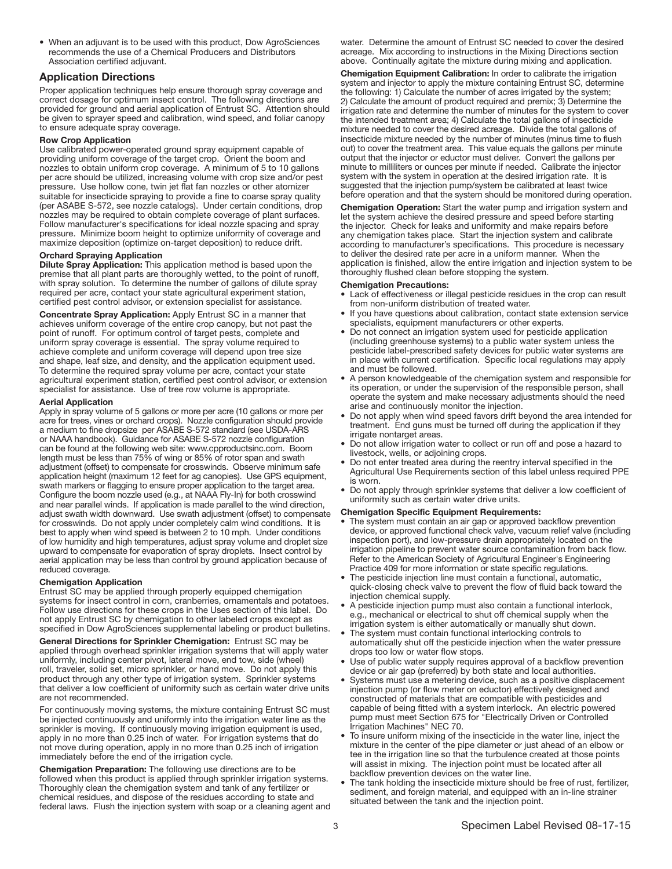• When an adjuvant is to be used with this product, Dow AgroSciences recommends the use of a Chemical Producers and Distributors Association certified adjuvant.

### Application Directions

Proper application techniques help ensure thorough spray coverage and correct dosage for optimum insect control. The following directions are provided for ground and aerial application of Entrust SC. Attention should be given to sprayer speed and calibration, wind speed, and foliar canopy to ensure adequate spray coverage.

### Row Crop Application

Use calibrated power-operated ground spray equipment capable of providing uniform coverage of the target crop. Orient the boom and nozzles to obtain uniform crop coverage. A minimum of 5 to 10 gallons per acre should be utilized, increasing volume with crop size and/or pest pressure. Use hollow cone, twin jet flat fan nozzles or other atomizer suitable for insecticide spraying to provide a fine to coarse spray quality (per ASABE S-572, see nozzle catalogs). Under certain conditions, drop nozzles may be required to obtain complete coverage of plant surfaces. Follow manufacturer's specifications for ideal nozzle spacing and spray pressure. Minimize boom height to optimize uniformity of coverage and maximize deposition (optimize on-target deposition) to reduce drift.

### Orchard Spraying Application

Dilute Spray Application: This application method is based upon the premise that all plant parts are thoroughly wetted, to the point of runoff, with spray solution. To determine the number of gallons of dilute spray required per acre, contact your state agricultural experiment station, certified pest control advisor, or extension specialist for assistance.

Concentrate Spray Application: Apply Entrust SC in a manner that achieves uniform coverage of the entire crop canopy, but not past the point of runoff. For optimum control of target pests, complete and uniform spray coverage is essential. The spray volume required to achieve complete and uniform coverage will depend upon tree size and shape, leaf size, and density, and the application equipment used. To determine the required spray volume per acre, contact your state agricultural experiment station, certified pest control advisor, or extension specialist for assistance. Use of tree row volume is appropriate.

### Aerial Application

Apply in spray volume of 5 gallons or more per acre (10 gallons or more per acre for trees, vines or orchard crops). Nozzle configuration should provide a medium to fine dropsize per ASABE S-572 standard (see USDA-ARS or NAAA handbook). Guidance for ASABE S-572 nozzle configuration can be found at the following web site: www.cpproductsinc.com. Boom length must be less than 75% of wing or 85% of rotor span and swath adjustment (offset) to compensate for crosswinds. Observe minimum safe application height (maximum 12 feet for ag canopies). Use GPS equipment, swath markers or flagging to ensure proper application to the target area. Configure the boom nozzle used (e.g., at NAAA Fly-In) for both crosswind and near parallel winds. If application is made parallel to the wind direction, adjust swath width downward. Use swath adjustment (offset) to compensate for crosswinds. Do not apply under completely calm wind conditions. It is best to apply when wind speed is between 2 to 10 mph. Under conditions of low humidity and high temperatures, adjust spray volume and droplet size upward to compensate for evaporation of spray droplets. Insect control by aerial application may be less than control by ground application because of reduced coverage.

### Chemigation Application

Entrust SC may be applied through properly equipped chemigation systems for insect control in corn, cranberries, ornamentals and potatoes. Follow use directions for these crops in the Uses section of this label. Do not apply Entrust SC by chemigation to other labeled crops except as specified in Dow AgroSciences supplemental labeling or product bulletins.

General Directions for Sprinkler Chemigation: Entrust SC may be applied through overhead sprinkler irrigation systems that will apply water uniformly, including center pivot, lateral move, end tow, side (wheel) roll, traveler, solid set, micro sprinkler, or hand move. Do not apply this product through any other type of irrigation system. Sprinkler systems that deliver a low coefficient of uniformity such as certain water drive units are not recommended.

For continuously moving systems, the mixture containing Entrust SC must be injected continuously and uniformly into the irrigation water line as the sprinkler is moving. If continuously moving irrigation equipment is used, apply in no more than 0.25 inch of water. For irrigation systems that do not move during operation, apply in no more than 0.25 inch of irrigation immediately before the end of the irrigation cycle.

Chemigation Preparation: The following use directions are to be followed when this product is applied through sprinkler irrigation systems. Thoroughly clean the chemigation system and tank of any fertilizer or chemical residues, and dispose of the residues according to state and federal laws. Flush the injection system with soap or a cleaning agent and water. Determine the amount of Entrust SC needed to cover the desired acreage. Mix according to instructions in the Mixing Directions section above. Continually agitate the mixture during mixing and application.

Chemigation Equipment Calibration: In order to calibrate the irrigation system and injector to apply the mixture containing Entrust SC, determine the following: 1) Calculate the number of acres irrigated by the system; 2) Calculate the amount of product required and premix; 3) Determine the irrigation rate and determine the number of minutes for the system to cover the intended treatment area; 4) Calculate the total gallons of insecticide mixture needed to cover the desired acreage. Divide the total gallons of insecticide mixture needed by the number of minutes (minus time to flush out) to cover the treatment area. This value equals the gallons per minute output that the injector or eductor must deliver. Convert the gallons per minute to milliliters or ounces per minute if needed. Calibrate the injector system with the system in operation at the desired irrigation rate. It is suggested that the injection pump/system be calibrated at least twice before operation and that the system should be monitored during operation.

Chemigation Operation: Start the water pump and irrigation system and let the system achieve the desired pressure and speed before starting the injector. Check for leaks and uniformity and make repairs before any chemigation takes place. Start the injection system and calibrate according to manufacturer's specifications. This procedure is necessary to deliver the desired rate per acre in a uniform manner. When the application is finished, allow the entire irrigation and injection system to be thoroughly flushed clean before stopping the system.

### Chemigation Precautions:

- Lack of effectiveness or illegal pesticide residues in the crop can result from non-uniform distribution of treated water.
- If you have questions about calibration, contact state extension service specialists, equipment manufacturers or other experts.
- Do not connect an irrigation system used for pesticide application (including greenhouse systems) to a public water system unless the pesticide label-prescribed safety devices for public water systems are in place with current certification. Specific local regulations may apply and must be followed.
- A person knowledgeable of the chemigation system and responsible for its operation, or under the supervision of the responsible person, shall operate the system and make necessary adjustments should the need arise and continuously monitor the injection.
- Do not apply when wind speed favors drift beyond the area intended for treatment. End guns must be turned off during the application if they irrigate nontarget areas.
- Do not allow irrigation water to collect or run off and pose a hazard to livestock, wells, or adjoining crops.
- Do not enter treated area during the reentry interval specified in the Agricultural Use Requirements section of this label unless required PPE is worn.
- Do not apply through sprinkler systems that deliver a low coefficient of uniformity such as certain water drive units.

### Chemigation Specific Equipment Requirements:

- The system must contain an air gap or approved backflow prevention device, or approved functional check valve, vacuum relief valve (including inspection port), and low-pressure drain appropriately located on the irrigation pipeline to prevent water source contamination from back flow. Refer to the American Society of Agricultural Engineer's Engineering Practice 409 for more information or state specific regulations.
- The pesticide injection line must contain a functional, automatic, quick-closing check valve to prevent the flow of fluid back toward the injection chemical supply.
- A pesticide injection pump must also contain a functional interlock, e.g., mechanical or electrical to shut off chemical supply when the irrigation system is either automatically or manually shut down.
- The system must contain functional interlocking controls to automatically shut off the pesticide injection when the water pressure drops too low or water flow stops.
- Use of public water supply requires approval of a backflow prevention device or air gap (preferred) by both state and local authorities.
- Systems must use a metering device, such as a positive displacement injection pump (or flow meter on eductor) effectively designed and constructed of materials that are compatible with pesticides and capable of being fitted with a system interlock. An electric powered pump must meet Section 675 for "Electrically Driven or Controlled Irrigation Machines" NEC 70.
- To insure uniform mixing of the insecticide in the water line, inject the mixture in the center of the pipe diameter or just ahead of an elbow or tee in the irrigation line so that the turbulence created at those points will assist in mixing. The injection point must be located after all backflow prevention devices on the water line.
- The tank holding the insecticide mixture should be free of rust, fertilizer, sediment, and foreign material, and equipped with an in-line strainer situated between the tank and the injection point.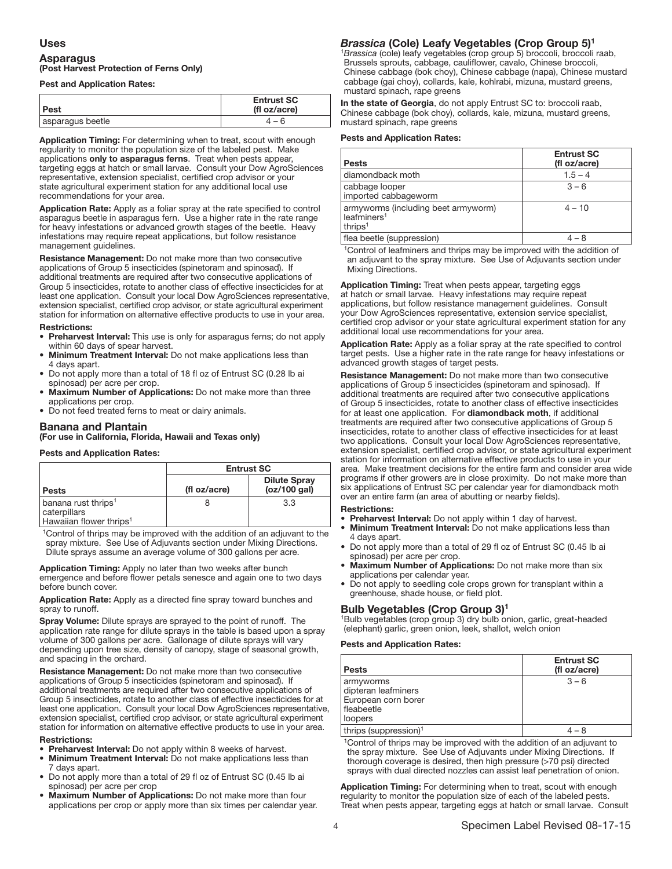### Uses

## Asparagus (Post Harvest Protection of Ferns Only)

## Pest and Application Rates:

| ∣Pest            | <b>Entrust SC</b><br>(fl oz/acre) |
|------------------|-----------------------------------|
| asparagus beetle | 4 – R                             |
|                  |                                   |

I Application Timing: For determining when to treat, scout with enough regularity to monitor the population size of the labeled pest. Make applications only to asparagus ferns. Treat when pests appear, targeting eggs at hatch or small larvae. Consult your Dow AgroSciences representative, extension specialist, certified crop advisor or your state agricultural experiment station for any additional local use recommendations for your area.

Application Rate: Apply as a foliar spray at the rate specified to control asparagus beetle in asparagus fern. Use a higher rate in the rate range for heavy infestations or advanced growth stages of the beetle. Heavy infestations may require repeat applications, but follow resistance management guidelines.

Resistance Management: Do not make more than two consecutive applications of Group 5 insecticides (spinetoram and spinosad). If additional treatments are required after two consecutive applications of Group 5 insecticides, rotate to another class of effective insecticides for at least one application. Consult your local Dow AgroSciences representative, extension specialist, certified crop advisor, or state agricultural experiment station for information on alternative effective products to use in your area. Restrictions:

- Preharvest Interval: This use is only for asparagus ferns; do not apply within 60 days of spear harvest.
- Minimum Treatment Interval: Do not make applications less than 4 days apart.
- Do not apply more than a total of 18 fl oz of Entrust SC (0.28 lb ai spinosad) per acre per crop.
- **Maximum Number of Applications:** Do not make more than three applications per crop.
- Do not feed treated ferns to meat or dairy animals.

### Banana and Plantain

(For use in California, Florida, Hawaii and Texas only)

## Pests and Application Rates:

|                                                                                        | <b>Entrust SC</b> |                                     |
|----------------------------------------------------------------------------------------|-------------------|-------------------------------------|
| <b>Pests</b>                                                                           | (fl oz/acre)      | <b>Dilute Spray</b><br>(oz/100 gal) |
| banana rust thrips <sup>1</sup><br>caterpillars<br>Hawaiian flower thrips <sup>1</sup> |                   | 3.3                                 |

<sup>1</sup>Control of thrips may be improved with the addition of an adjuvant to the spray mixture. See Use of Adjuvants section under Mixing Directions. Dilute sprays assume an average volume of 300 gallons per acre.

Application Timing: Apply no later than two weeks after bunch emergence and before flower petals senesce and again one to two days before bunch cover.

Application Rate: Apply as a directed fine spray toward bunches and spray to runoff.

Spray Volume: Dilute sprays are sprayed to the point of runoff. The application rate range for dilute sprays in the table is based upon a spray volume of 300 gallons per acre. Gallonage of dilute sprays will vary depending upon tree size, density of canopy, stage of seasonal growth, and spacing in the orchard.

Resistance Management: Do not make more than two consecutive applications of Group 5 insecticides (spinetoram and spinosad). If additional treatments are required after two consecutive applications of Group 5 insecticides, rotate to another class of effective insecticides for at least one application. Consult your local Dow AgroSciences representative, extension specialist, certified crop advisor, or state agricultural experiment station for information on alternative effective products to use in your area.

### Restrictions:

- Preharvest Interval: Do not apply within 8 weeks of harvest.
- Minimum Treatment Interval: Do not make applications less than 7 days apart.
- Do not apply more than a total of 29 fl oz of Entrust SC (0.45 lb ai spinosad) per acre per crop
- Maximum Number of Applications: Do not make more than four applications per crop or apply more than six times per calendar year.

### *Brassica* (Cole) Leafy Vegetables (Crop Group 5)1

<sup>1</sup>*Brassica* (cole) leafy vegetables (crop group 5) broccoli, broccoli raab, Brussels sprouts, cabbage, cauliflower, cavalo, Chinese broccoli, Chinese cabbage (bok choy), Chinese cabbage (napa), Chinese mustard cabbage (gai choy), collards, kale, kohlrabi, mizuna, mustard greens, mustard spinach, rape greens

In the state of Georgia, do not apply Entrust SC to: broccoli raab, Chinese cabbage (bok choy), collards, kale, mizuna, mustard greens, mustard spinach, rape greens

## Pests and Application Rates:

| <b>Pests</b>                                                                          | <b>Entrust SC</b><br>(fl oz/acre) |
|---------------------------------------------------------------------------------------|-----------------------------------|
| diamondback moth                                                                      | $1.5 - 4$                         |
| cabbage looper<br>imported cabbageworm                                                | $3 - 6$                           |
| armyworms (including beet armyworm)<br>leafminers <sup>1</sup><br>thrips <sup>1</sup> | $4 - 10$                          |
| flog bootle (cupproccion)                                                             |                                   |

flea beetle (suppression)

<sup>1</sup>Control of leafminers and thrips may be improved with the addition of an adjuvant to the spray mixture. See Use of Adjuvants section under Mixing Directions.

Application Timing: Treat when pests appear, targeting eggs at hatch or small larvae. Heavy infestations may require repeat applications, but follow resistance management guidelines. Consult your Dow AgroSciences representative, extension service specialist, certified crop advisor or your state agricultural experiment station for any additional local use recommendations for your area.

Application Rate: Apply as a foliar spray at the rate specified to control target pests. Use a higher rate in the rate range for heavy infestations or advanced growth stages of target pests.

Resistance Management: Do not make more than two consecutive applications of Group 5 insecticides (spinetoram and spinosad). If additional treatments are required after two consecutive applications of Group 5 insecticides, rotate to another class of effective insecticides for at least one application. For diamondback moth, if additional treatments are required after two consecutive applications of Group 5 insecticides, rotate to another class of effective insecticides for at least two applications. Consult your local Dow AgroSciences representative, extension specialist, certified crop advisor, or state agricultural experiment station for information on alternative effective products to use in your area. Make treatment decisions for the entire farm and consider area wide programs if other growers are in close proximity. Do not make more than six applications of Entrust SC per calendar year for diamondback moth over an entire farm (an area of abutting or nearby fields).

### Restrictions:

- Preharvest Interval: Do not apply within 1 day of harvest.
- **Minimum Treatment Interval:** Do not make applications less than 4 days apart.
- Do not apply more than a total of 29 fl oz of Entrust SC (0.45 lb ai spinosad) per acre per crop.
- Maximum Number of Applications: Do not make more than six applications per calendar year.
- Do not apply to seedling cole crops grown for transplant within a greenhouse, shade house, or field plot.

## Bulb Vegetables (Crop Group 3)1

1Bulb vegetables (crop group 3) dry bulb onion, garlic, great-headed (elephant) garlic, green onion, leek, shallot, welch onion

## Pests and Application Rates:

| <b>Pests</b>                                                                       | <b>Entrust SC</b><br>(fl oz/acre) |
|------------------------------------------------------------------------------------|-----------------------------------|
| armyworms<br>dipteran leafminers<br>European corn borer<br>  fleabeetle<br>loopers | $3 - 6$                           |
| thrips (suppression) <sup>1</sup>                                                  |                                   |

<sup>1</sup>Control of thrips may be improved with the addition of an adjuvant to the spray mixture. See Use of Adjuvants under Mixing Directions. If thorough coverage is desired, then high pressure (>70 psi) directed sprays with dual directed nozzles can assist leaf penetration of onion.

Application Timing: For determining when to treat, scout with enough regularity to monitor the population size of each of the labeled pests. Treat when pests appear, targeting eggs at hatch or small larvae. Consult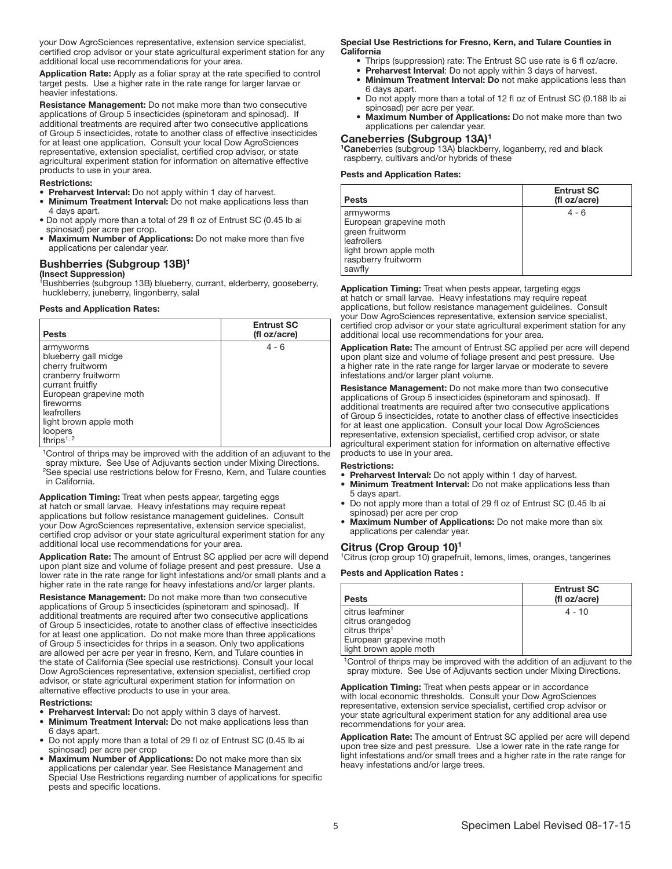your Dow AgroSciences representative, extension service specialist, certified crop advisor or your state agricultural experiment station for any additional local use recommendations for your area.

Application Rate: Apply as a foliar spray at the rate specified to control target pests. Use a higher rate in the rate range for larger larvae or heavier infestations.

Resistance Management: Do not make more than two consecutive applications of Group 5 insecticides (spinetoram and spinosad). If additional treatments are required after two consecutive applications of Group 5 insecticides, rotate to another class of effective insecticides for at least one application. Consult your local Dow AgroSciences representative, extension specialist, certified crop advisor, or state agricultural experiment station for information on alternative effective products to use in your area.

#### Restrictions:

- Preharvest Interval: Do not apply within 1 day of harvest.
- **Minimum Treatment Interval:** Do not make applications less than 4 days apart.
- Do not apply more than a total of 29 fl oz of Entrust SC (0.45 lb ai spinosad) per acre per crop.
- Maximum Number of Applications: Do not make more than five applications per calendar year.

### Bushberries (Subgroup 13B)1

### (Insect Suppression)

<sup>1</sup>Bushberries (subgroup 13B) blueberry, currant, elderberry, gooseberry, huckleberry, juneberry, lingonberry, salal

## Pests and Application Rates:

| <b>Pests</b>                                                                                                                                                                                                  | <b>Entrust SC</b><br>(fl oz/acre) |
|---------------------------------------------------------------------------------------------------------------------------------------------------------------------------------------------------------------|-----------------------------------|
| armyworms<br>blueberry gall midge<br>cherry fruitworm<br>cranberry fruitworm<br>currant fruitfly<br>European grapevine moth<br>fireworms<br>leafrollers<br>light brown apple moth<br>loopers<br>thrips $1, 2$ | $4 - 6$                           |

1Control of thrips may be improved with the addition of an adjuvant to the spray mixture. See Use of Adjuvants section under Mixing Directions. <sup>2</sup>See special use restrictions below for Fresno, Kern, and Tulare counties in California.

Application Timing: Treat when pests appear, targeting eggs at hatch or small larvae. Heavy infestations may require repeat applications but follow resistance management guidelines. Consult your Dow AgroSciences representative, extension service specialist, certified crop advisor or your state agricultural experiment station for any additional local use recommendations for your area.

Application Rate: The amount of Entrust SC applied per acre will depend upon plant size and volume of foliage present and pest pressure. Use a lower rate in the rate range for light infestations and/or small plants and a higher rate in the rate range for heavy infestations and/or larger plants.

Resistance Management: Do not make more than two consecutive applications of Group 5 insecticides (spinetoram and spinosad). If additional treatments are required after two consecutive applications of Group 5 insecticides, rotate to another class of effective insecticides for at least one application. Do not make more than three applications of Group 5 insecticides for thrips in a season. Only two applications are allowed per acre per year in fresno, Kern, and Tulare counties in the state of California (See special use restrictions). Consult your local Dow AgroSciences representative, extension specialist, certified crop advisor, or state agricultural experiment station for information on alternative effective products to use in your area.

### Restrictions:

- Preharvest Interval: Do not apply within 3 days of harvest.
- **Minimum Treatment Interval:** Do not make applications less than 6 days apart.
- Do not apply more than a total of 29 fl oz of Entrust SC (0.45 lb ai spinosad) per acre per crop
- Maximum Number of Applications: Do not make more than six applications per calendar year. See Resistance Management and Special Use Restrictions regarding number of applications for specific pests and specific locations.

### Special Use Restrictions for Fresno, Kern, and Tulare Counties in California

- Thrips (suppression) rate: The Entrust SC use rate is 6 fl oz/acre.
- Preharvest Interval: Do not apply within 3 days of harvest.
- Minimum Treatment Interval: Do not make applications less than
- 6 days apart. • Do not apply more than a total of 12 fl oz of Entrust SC (0.188 lb ai
- spinosad) per acre per year. • Maximum Number of Applications: Do not make more than two

## applications per calendar year.

### Caneberries (Subgroup 13A)1

<sup>1</sup>Caneberries (subgroup 13A) blackberry, loganberry, red and black raspberry, cultivars and/or hybrids of these

## Pests and Application Rates:

| <b>Pests</b>                                                                                                                      | <b>Entrust SC</b><br>(fl oz/acre) |
|-----------------------------------------------------------------------------------------------------------------------------------|-----------------------------------|
| armyworms<br>European grapevine moth<br>green fruitworm<br>leafrollers<br>light brown apple moth<br>raspberry fruitworm<br>sawfly | $4 - 6$                           |

Application Timing: Treat when pests appear, targeting eggs at hatch or small larvae. Heavy infestations may require repeat applications, but follow resistance management guidelines. Consult your Dow AgroSciences representative, extension service specialist, certified crop advisor or your state agricultural experiment station for any additional local use recommendations for your area.

Application Rate: The amount of Entrust SC applied per acre will depend upon plant size and volume of foliage present and pest pressure. Use a higher rate in the rate range for larger larvae or moderate to severe infestations and/or larger plant volume.

Resistance Management: Do not make more than two consecutive applications of Group 5 insecticides (spinetoram and spinosad). If additional treatments are required after two consecutive applications of Group 5 insecticides, rotate to another class of effective insecticides for at least one application. Consult your local Dow AgroSciences representative, extension specialist, certified crop advisor, or state agricultural experiment station for information on alternative effective products to use in your area.

### Restrictions:

- Preharvest Interval: Do not apply within 1 day of harvest.
- **Minimum Treatment Interval:** Do not make applications less than 5 days apart.
- Do not apply more than a total of 29 fl oz of Entrust SC (0.45 lb ai spinosad) per acre per crop
- Maximum Number of Applications: Do not make more than six applications per calendar year.

### Citrus (Crop Group 10)1

1Citrus (crop group 10) grapefruit, lemons, limes, oranges, tangerines

### Pests and Application Rates :

| <b>Pests</b>                                                                                                            | <b>Entrust SC</b><br>(fl oz/acre) |
|-------------------------------------------------------------------------------------------------------------------------|-----------------------------------|
| citrus leafminer<br>citrus orangedog<br>citrus thrips <sup>1</sup><br>European grapevine moth<br>light brown apple moth | $4 - 10$                          |

<sup>1</sup>Control of thrips may be improved with the addition of an adjuvant to the spray mixture. See Use of Adjuvants section under Mixing Directions.

Application Timing: Treat when pests appear or in accordance with local economic thresholds. Consult your Dow AgroSciences representative, extension service specialist, certified crop advisor or your state agricultural experiment station for any additional area use recommendations for your area.

Application Rate: The amount of Entrust SC applied per acre will depend upon tree size and pest pressure. Use a lower rate in the rate range for light infestations and/or small trees and a higher rate in the rate range for heavy infestations and/or large trees.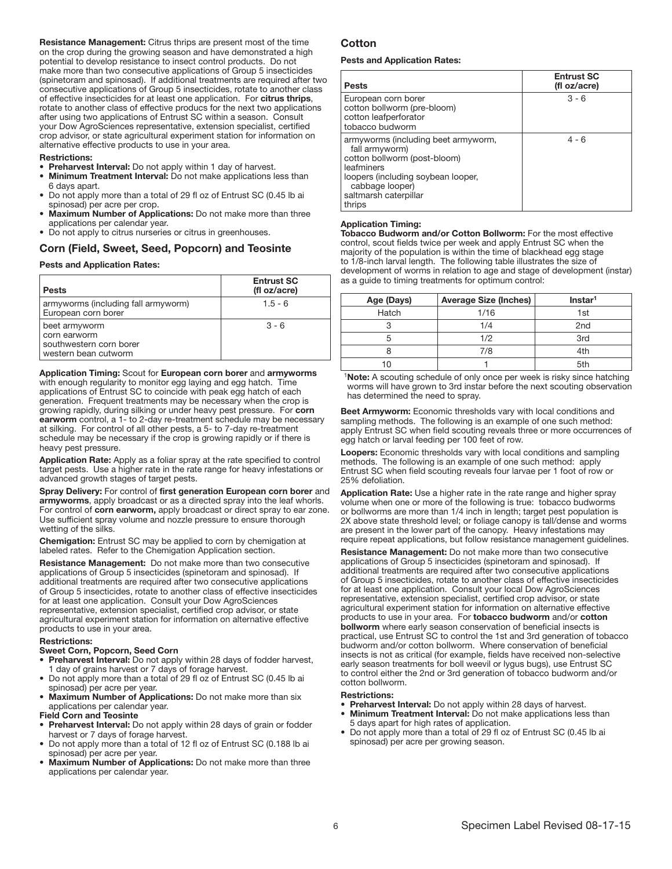Resistance Management: Citrus thrips are present most of the time on the crop during the growing season and have demonstrated a high potential to develop resistance to insect control products. Do not make more than two consecutive applications of Group 5 insecticides (spinetoram and spinosad). If additional treatments are required after two consecutive applications of Group 5 insecticides, rotate to another class of effective insecticides for at least one application. For citrus thrips, rotate to another class of effective producs for the next two applications after using two applications of Entrust SC within a season. Consult your Dow AgroSciences representative, extension specialist, certified crop advisor, or state agricultural experiment station for information on alternative effective products to use in your area.

### Restrictions:

- Preharvest Interval: Do not apply within 1 day of harvest.
- Minimum Treatment Interval: Do not make applications less than 6 days apart.
- Do not apply more than a total of 29 fl oz of Entrust SC (0.45 lb ai spinosad) per acre per crop.
- Maximum Number of Applications: Do not make more than three applications per calendar year.
- Do not apply to citrus nurseries or citrus in greenhouses.

# Corn (Field, Sweet, Seed, Popcorn) and Teosinte

## Pests and Application Rates:

| <b>Pests</b>                                                                     | <b>Entrust SC</b><br>(fl oz/acre) |
|----------------------------------------------------------------------------------|-----------------------------------|
| armyworms (including fall armyworm)<br>European corn borer                       | $1.5 - 6$                         |
| beet armyworm<br>corn earworm<br>southwestern corn borer<br>western bean cutworm | $3 - 6$                           |

Application Timing: Scout for European corn borer and armyworms with enough regularity to monitor egg laying and egg hatch. Time applications of Entrust SC to coincide with peak egg hatch of each generation. Frequent treatments may be necessary when the crop is growing rapidly, during silking or under heavy pest pressure. For corn earworm control, a 1- to 2-day re-treatment schedule may be necessary at silking. For control of all other pests, a 5- to 7-day re-treatment schedule may be necessary if the crop is growing rapidly or if there is heavy pest pressure.

Application Rate: Apply as a foliar spray at the rate specified to control target pests. Use a higher rate in the rate range for heavy infestations or advanced growth stages of target pests.

Spray Delivery: For control of first generation European corn borer and armyworms, apply broadcast or as a directed spray into the leaf whorls. For control of corn earworm, apply broadcast or direct spray to ear zone. Use sufficient spray volume and nozzle pressure to ensure thorough wetting of the silks.

Chemigation: Entrust SC may be applied to corn by chemigation at labeled rates. Refer to the Chemigation Application section.

Resistance Management: Do not make more than two consecutive applications of Group 5 insecticides (spinetoram and spinosad). If additional treatments are required after two consecutive applications of Group 5 insecticides, rotate to another class of effective insecticides for at least one application. Consult your Dow AgroSciences representative, extension specialist, certified crop advisor, or state agricultural experiment station for information on alternative effective products to use in your area.

### Restrictions:

### Sweet Corn, Popcorn, Seed Corn

- Preharvest Interval: Do not apply within 28 days of fodder harvest, 1 day of grains harvest or 7 days of forage harvest.
- Do not apply more than a total of 29 fl oz of Entrust SC (0.45 lb ai spinosad) per acre per year.
- **Maximum Number of Applications:** Do not make more than six applications per calendar year.

### Field Corn and Teosinte

- Preharvest Interval: Do not apply within 28 days of grain or fodder harvest or 7 days of forage harvest.
- Do not apply more than a total of 12 fl oz of Entrust SC (0.188 lb ai spinosad) per acre per year.
- Maximum Number of Applications: Do not make more than three applications per calendar year.

## Cotton

## Pests and Application Rates:

| <b>Pests</b>                                                                                                                                                                                    | <b>Entrust SC</b><br>(fl oz/acre) |
|-------------------------------------------------------------------------------------------------------------------------------------------------------------------------------------------------|-----------------------------------|
| European corn borer<br>cotton bollworm (pre-bloom)<br>cotton leafperforator<br>tobacco budworm                                                                                                  | $3 - 6$                           |
| armyworms (including beet armyworm,<br>fall armyworm)<br>cotton bollworm (post-bloom)<br>leafminers<br>loopers (including soybean looper,<br>cabbage looper)<br>saltmarsh caterpillar<br>thrips | $4 - 6$                           |

#### Ī Application Timing:

Tobacco Budworm and/or Cotton Bollworm: For the most effective control, scout fields twice per week and apply Entrust SC when the majority of the population is within the time of blackhead egg stage to 1/8-inch larval length. The following table illustrates the size of development of worms in relation to age and stage of development (instar) as a guide to timing treatments for optimum control:

| Age (Days) | <b>Average Size (Inches)</b> | Instar <sup>1</sup> |
|------------|------------------------------|---------------------|
| Hatch      | 1/16                         | 1st                 |
|            | 1/4                          | 2 <sub>nd</sub>     |
|            | 1/2                          | 3rd                 |
|            | 7/8                          | 4th                 |
|            |                              | 5th                 |

<sup>1</sup>Note: A scouting schedule of only once per week is risky since hatching worms will have grown to 3rd instar before the next scouting observation has determined the need to spray.

Beet Armyworm: Economic thresholds vary with local conditions and sampling methods. The following is an example of one such method: apply Entrust SC when field scouting reveals three or more occurrences of egg hatch or larval feeding per 100 feet of row.

Loopers: Economic thresholds vary with local conditions and sampling methods. The following is an example of one such method: apply Entrust SC when field scouting reveals four larvae per 1 foot of row or 25% defoliation.

Application Rate: Use a higher rate in the rate range and higher spray volume when one or more of the following is true: tobacco budworms or bollworms are more than 1/4 inch in length; target pest population is 2X above state threshold level; or foliage canopy is tall/dense and worms are present in the lower part of the canopy. Heavy infestations may require repeat applications, but follow resistance management guidelines.

Resistance Management: Do not make more than two consecutive applications of Group 5 insecticides (spinetoram and spinosad). If additional treatments are required after two consecutive applications of Group 5 insecticides, rotate to another class of effective insecticides for at least one application. Consult your local Dow AgroSciences representative, extension specialist, certified crop advisor, or state agricultural experiment station for information on alternative effective products to use in your area. For tobacco budworm and/or cotton bollworm where early season conservation of beneficial insects is practical, use Entrust SC to control the 1st and 3rd generation of tobacco budworm and/or cotton bollworm. Where conservation of beneficial insects is not as critical (for example, fields have received non-selective early season treatments for boll weevil or lygus bugs), use Entrust SC to control either the 2nd or 3rd generation of tobacco budworm and/or cotton bollworm.

- Preharvest Interval: Do not apply within 28 days of harvest.
- Minimum Treatment Interval: Do not make applications less than 5 days apart for high rates of application.
- Do not apply more than a total of 29 fl oz of Entrust SC (0.45 lb ai spinosad) per acre per growing season.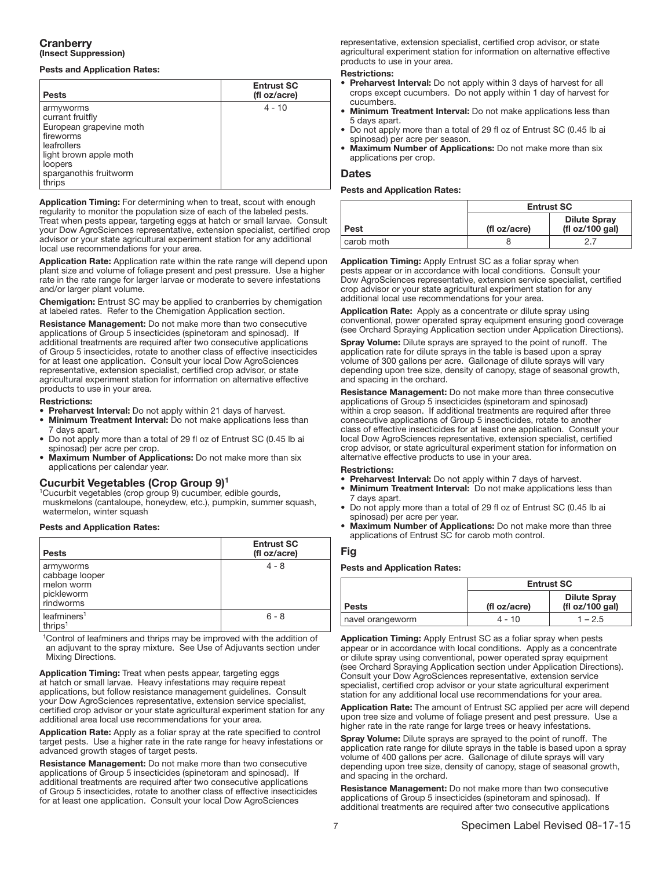## Cranberry (Insect Suppression)

## Pests and Application Rates:

| <b>Pests</b>                                                                                                                                                  | <b>Entrust SC</b><br>(fl oz/acre) |
|---------------------------------------------------------------------------------------------------------------------------------------------------------------|-----------------------------------|
| armyworms<br>currant fruitfly<br>European grapevine moth<br>fireworms<br>leafrollers<br>light brown apple moth<br>loopers<br>sparganothis fruitworm<br>thrips | $4 - 10$                          |

Application Timing: For determining when to treat, scout with enough regularity to monitor the population size of each of the labeled pests. Treat when pests appear, targeting eggs at hatch or small larvae. Consult your Dow AgroSciences representative, extension specialist, certified crop advisor or your state agricultural experiment station for any additional local use recommendations for your area.

Application Rate: Application rate within the rate range will depend upon plant size and volume of foliage present and pest pressure. Use a higher rate in the rate range for larger larvae or moderate to severe infestations and/or larger plant volume.

Chemigation: Entrust SC may be applied to cranberries by chemigation at labeled rates. Refer to the Chemigation Application section.

Resistance Management: Do not make more than two consecutive applications of Group 5 insecticides (spinetoram and spinosad). If additional treatments are required after two consecutive applications of Group 5 insecticides, rotate to another class of effective insecticides for at least one application. Consult your local Dow AgroSciences representative, extension specialist, certified crop advisor, or state agricultural experiment station for information on alternative effective products to use in your area.

### Restrictions:

• Preharvest Interval: Do not apply within 21 days of harvest.

- **Minimum Treatment Interval:** Do not make applications less than 7 days apart.
- Do not apply more than a total of 29 fl oz of Entrust SC (0.45 lb ai spinosad) per acre per crop.
- Maximum Number of Applications: Do not make more than six applications per calendar year.

## Cucurbit Vegetables (Crop Group 9)1

1Cucurbit vegetables (crop group 9) cucumber, edible gourds, muskmelons (cantaloupe, honeydew, etc.), pumpkin, summer squash, watermelon, winter squash

## Pests and Application Rates:

| <b>Pests</b>                                                         | <b>Entrust SC</b><br>(fl oz/acre) |
|----------------------------------------------------------------------|-----------------------------------|
| armyworms<br>cabbage looper<br>melon worm<br>pickleworm<br>rindworms | $4 - 8$                           |
| leafminers <sup>1</sup><br>thrips <sup>1</sup>                       | $6 - 8$                           |

1Control of leafminers and thrips may be improved with the addition of an adjuvant to the spray mixture. See Use of Adjuvants section under Mixing Directions.

Application Timing: Treat when pests appear, targeting eggs at hatch or small larvae. Heavy infestations may require repeat applications, but follow resistance management guidelines. Consult your Dow AgroSciences representative, extension service specialist, certified crop advisor or your state agricultural experiment station for any additional area local use recommendations for your area.

Application Rate: Apply as a foliar spray at the rate specified to control target pests. Use a higher rate in the rate range for heavy infestations or advanced growth stages of target pests.

Resistance Management: Do not make more than two consecutive applications of Group 5 insecticides (spinetoram and spinosad). If additional treatments are required after two consecutive applications of Group 5 insecticides, rotate to another class of effective insecticides for at least one application. Consult your local Dow AgroSciences

representative, extension specialist, certified crop advisor, or state agricultural experiment station for information on alternative effective products to use in your area.

### Restrictions:

- Preharvest Interval: Do not apply within 3 days of harvest for all crops except cucumbers. Do not apply within 1 day of harvest for cucumbers.
- Minimum Treatment Interval: Do not make applications less than 5 days apart.
- Do not apply more than a total of 29 fl oz of Entrust SC (0.45 lb ai spinosad) per acre per season.
- Maximum Number of Applications: Do not make more than six applications per crop.

## Dates

## Pests and Application Rates:

|            | <b>Entrust SC</b> |                                        |
|------------|-------------------|----------------------------------------|
| Pest       | (fl oz/acre)      | <b>Dilute Spray</b><br>(fl oz/100 gal) |
| carob moth |                   |                                        |

Ī Application Timing: Apply Entrust SC as a foliar spray when pests appear or in accordance with local conditions. Consult your Dow AgroSciences representative, extension service specialist, certified crop advisor or your state agricultural experiment station for any additional local use recommendations for your area.

Application Rate: Apply as a concentrate or dilute spray using conventional, power operated spray equipment ensuring good coverage (see Orchard Spraying Application section under Application Directions).

Spray Volume: Dilute sprays are sprayed to the point of runoff. The application rate for dilute sprays in the table is based upon a spray volume of 300 gallons per acre. Gallonage of dilute sprays will vary depending upon tree size, density of canopy, stage of seasonal growth, and spacing in the orchard.

Resistance Management: Do not make more than three consecutive applications of Group 5 insecticides (spinetoram and spinosad) within a crop season. If additional treatments are required after three consecutive applications of Group 5 insecticides, rotate to another class of effective insecticides for at least one application. Consult your local Dow AgroSciences representative, extension specialist, certified crop advisor, or state agricultural experiment station for information on alternative effective products to use in your area.

### Restrictions:

- Preharvest Interval: Do not apply within 7 days of harvest.
- Minimum Treatment Interval: Do not make applications less than 7 days apart.
- Do not apply more than a total of 29 fl oz of Entrust SC (0.45 lb ai spinosad) per acre per year.
- Maximum Number of Applications: Do not make more than three applications of Entrust SC for carob moth control.

## Fig

## Pests and Application Rates:

|                  | <b>Entrust SC</b> |                                        |
|------------------|-------------------|----------------------------------------|
| <b>Pests</b>     | (fl oz/acre)      | <b>Dilute Spray</b><br>(fl oz/100 gal) |
| navel orangeworm | $4 - 10$          | $1 - 2.5$                              |

Ī Application Timing: Apply Entrust SC as a foliar spray when pests appear or in accordance with local conditions. Apply as a concentrate or dilute spray using conventional, power operated spray equipment (see Orchard Spraying Application section under Application Directions). Consult your Dow AgroSciences representative, extension service specialist, certified crop advisor or your state agricultural experiment station for any additional local use recommendations for your area.

Application Rate: The amount of Entrust SC applied per acre will depend upon tree size and volume of foliage present and pest pressure. Use a higher rate in the rate range for large trees or heavy infestations.

Spray Volume: Dilute sprays are sprayed to the point of runoff. The application rate range for dilute sprays in the table is based upon a spray volume of 400 gallons per acre. Gallonage of dilute sprays will vary depending upon tree size, density of canopy, stage of seasonal growth, and spacing in the orchard.

Resistance Management: Do not make more than two consecutive applications of Group 5 insecticides (spinetoram and spinosad). If additional treatments are required after two consecutive applications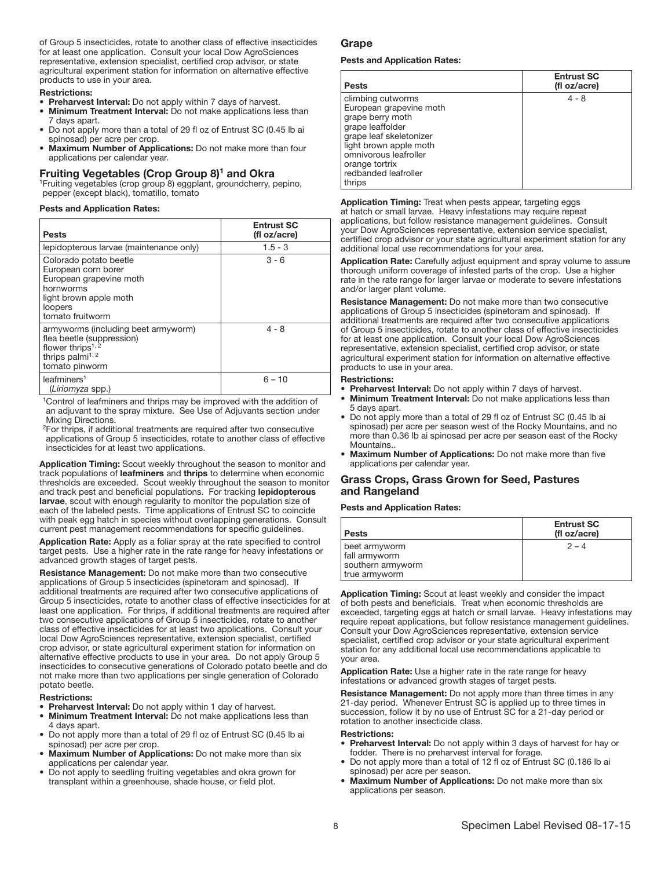of Group 5 insecticides, rotate to another class of effective insecticides for at least one application. Consult your local Dow AgroSciences representative, extension specialist, certified crop advisor, or state agricultural experiment station for information on alternative effective products to use in your area.

### Restrictions:

- Preharvest Interval: Do not apply within 7 days of harvest.
- **Minimum Treatment Interval:** Do not make applications less than 7 days apart.
- Do not apply more than a total of 29 fl oz of Entrust SC (0.45 lb ai spinosad) per acre per crop.
- Maximum Number of Applications: Do not make more than four applications per calendar year.

**Fruiting Vegetables (Crop Group 8)<sup>1</sup> and Okra** 1Fruiting vegetables (crop group 8) eggplant, groundcherry, pepino, pepper (except black), tomatillo, tomato

## Pests and Application Rates:

| <b>Pests</b>                                                                                                                                        | <b>Entrust SC</b><br>(fl oz/acre) |
|-----------------------------------------------------------------------------------------------------------------------------------------------------|-----------------------------------|
| lepidopterous larvae (maintenance only)                                                                                                             | $1.5 - 3$                         |
| Colorado potato beetle<br>European corn borer<br>European grapevine moth<br>hornworms<br>light brown apple moth<br>loopers<br>tomato fruitworm      | $3 - 6$                           |
| armyworms (including beet armyworm)<br>flea beetle (suppression)<br>flower thrips <sup>1, 2</sup><br>thrips palmi <sup>1, 2</sup><br>tomato pinworm | $4 - 8$                           |
| leafminers <sup>1</sup><br>(Liriomyza spp.)                                                                                                         | $6 - 10$                          |

1Control of leafminers and thrips may be improved with the addition of an adjuvant to the spray mixture. See Use of Adjuvants section under Mixing Directions.

2For thrips, if additional treatments are required after two consecutive applications of Group 5 insecticides, rotate to another class of effective insecticides for at least two applications.

Application Timing: Scout weekly throughout the season to monitor and track populations of leafminers and thrips to determine when economic thresholds are exceeded. Scout weekly throughout the season to monitor and track pest and beneficial populations. For tracking lepidopterous larvae, scout with enough regularity to monitor the population size of each of the labeled pests. Time applications of Entrust SC to coincide with peak egg hatch in species without overlapping generations. Consult current pest management recommendations for specific guidelines.

Application Rate: Apply as a foliar spray at the rate specified to control target pests. Use a higher rate in the rate range for heavy infestations or advanced growth stages of target pests.

Resistance Management: Do not make more than two consecutive applications of Group 5 insecticides (spinetoram and spinosad). If additional treatments are required after two consecutive applications of Group 5 insecticides, rotate to another class of effective insecticides for at least one application. For thrips, if additional treatments are required after two consecutive applications of Group 5 insecticides, rotate to another class of effective insecticides for at least two applications. Consult your local Dow AgroSciences representative, extension specialist, certified crop advisor, or state agricultural experiment station for information on alternative effective products to use in your area. Do not apply Group 5 insecticides to consecutive generations of Colorado potato beetle and do not make more than two applications per single generation of Colorado potato beetle.

### Restrictions:

- Preharvest Interval: Do not apply within 1 day of harvest.
- Minimum Treatment Interval: Do not make applications less than 4 days apart.
- Do not apply more than a total of 29 fl oz of Entrust SC (0.45 lb ai spinosad) per acre per crop.
- Maximum Number of Applications: Do not make more than six applications per calendar year.
- Do not apply to seedling fruiting vegetables and okra grown for transplant within a greenhouse, shade house, or field plot.

#### Grape Ĩ

### Pests and Application Rates:

| <b>Pests</b>                                                                                                                                                                                                           | <b>Entrust SC</b><br>(fl oz/acre) |
|------------------------------------------------------------------------------------------------------------------------------------------------------------------------------------------------------------------------|-----------------------------------|
| climbing cutworms<br>European grapevine moth<br>grape berry moth<br>grape leaffolder<br>grape leaf skeletonizer<br>light brown apple moth<br>omnivorous leafroller<br>orange tortrix<br>redbanded leafroller<br>thrips | $4 - 8$                           |

Ī Application Timing: Treat when pests appear, targeting eggs at hatch or small larvae. Heavy infestations may require repeat applications, but follow resistance management guidelines. Consult your Dow AgroSciences representative, extension service specialist, certified crop advisor or your state agricultural experiment station for any additional local use recommendations for your area.

Application Rate: Carefully adjust equipment and spray volume to assure thorough uniform coverage of infested parts of the crop. Use a higher rate in the rate range for larger larvae or moderate to severe infestations and/or larger plant volume.

Resistance Management: Do not make more than two consecutive applications of Group 5 insecticides (spinetoram and spinosad). If additional treatments are required after two consecutive applications of Group 5 insecticides, rotate to another class of effective insecticides for at least one application. Consult your local Dow AgroSciences representative, extension specialist, certified crop advisor, or state agricultural experiment station for information on alternative effective products to use in your area.

### Restrictions:

• Preharvest Interval: Do not apply within 7 days of harvest.

- Minimum Treatment Interval: Do not make applications less than 5 days apart.
- Do not apply more than a total of 29 fl oz of Entrust SC (0.45 lb ai spinosad) per acre per season west of the Rocky Mountains, and no more than 0.36 lb ai spinosad per acre per season east of the Rocky Mountains..
- Maximum Number of Applications: Do not make more than five applications per calendar year.

## Grass Crops, Grass Grown for Seed, Pastures and Rangeland

## Pests and Application Rates:

| <b>Entrust SC</b><br>(fl oz/acre) |
|-----------------------------------|
| $2 - 4$                           |
|                                   |

Application Timing: Scout at least weekly and consider the impact of both pests and beneficials. Treat when economic thresholds are exceeded, targeting eggs at hatch or small larvae. Heavy infestations may require repeat applications, but follow resistance management guidelines. Consult your Dow AgroSciences representative, extension service specialist, certified crop advisor or your state agricultural experiment station for any additional local use recommendations applicable to your area.

Application Rate: Use a higher rate in the rate range for heavy infestations or advanced growth stages of target pests.

Resistance Management: Do not apply more than three times in any 21-day period. Whenever Entrust SC is applied up to three times in succession, follow it by no use of Entrust SC for a 21-day period or rotation to another insecticide class.

- Preharvest Interval: Do not apply within 3 days of harvest for hay or fodder. There is no preharvest interval for forage.
- Do not apply more than a total of 12 fl oz of Entrust SC (0.186 lb ai spinosad) per acre per season.
- Maximum Number of Applications: Do not make more than six applications per season.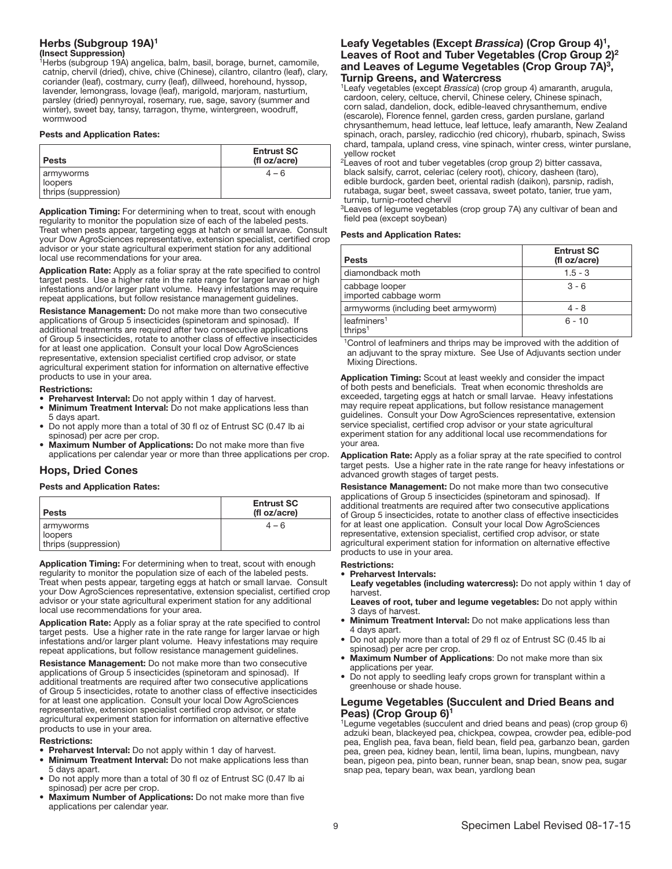### Herbs (Subgroup 19A)<sup>1</sup> (Insect Suppression)

1Herbs (subgroup 19A) angelica, balm, basil, borage, burnet, camomile, catnip, chervil (dried), chive, chive (Chinese), cilantro, cilantro (leaf), clary, coriander (leaf), costmary, curry (leaf), dillweed, horehound, hyssop, lavender, lemongrass, lovage (leaf), marigold, marjoram, nasturtium, parsley (dried) pennyroyal, rosemary, rue, sage, savory (summer and winter), sweet bay, tansy, tarragon, thyme, wintergreen, woodruff, wormwood

## Pests and Application Rates:

| <b>Pests</b>                                 | <b>Entrust SC</b><br>(fl oz/acre) |
|----------------------------------------------|-----------------------------------|
| armyworms<br>loopers<br>thrips (suppression) | $4 - 6$                           |

Ī Application Timing: For determining when to treat, scout with enough regularity to monitor the population size of each of the labeled pests. Treat when pests appear, targeting eggs at hatch or small larvae. Consult your Dow AgroSciences representative, extension specialist, certified crop advisor or your state agricultural experiment station for any additional local use recommendations for your area.

Application Rate: Apply as a foliar spray at the rate specified to control target pests. Use a higher rate in the rate range for larger larvae or high infestations and/or larger plant volume. Heavy infestations may require repeat applications, but follow resistance management guidelines.

Resistance Management: Do not make more than two consecutive applications of Group 5 insecticides (spinetoram and spinosad). If additional treatments are required after two consecutive applications of Group 5 insecticides, rotate to another class of effective insecticides for at least one application. Consult your local Dow AgroSciences representative, extension specialist certified crop advisor, or state agricultural experiment station for information on alternative effective products to use in your area.

### Restrictions:

- Preharvest Interval: Do not apply within 1 day of harvest.
- Minimum Treatment Interval: Do not make applications less than 5 days apart.
- Do not apply more than a total of 30 fl oz of Entrust SC (0.47 lb ai spinosad) per acre per crop.
- Maximum Number of Applications: Do not make more than five applications per calendar year or more than three applications per crop.

## Hops, Dried Cones

## Pests and Application Rates:

| Pests                                          | <b>Entrust SC</b><br>(fl oz/acre) |
|------------------------------------------------|-----------------------------------|
| I armyworms<br>loopers<br>thrips (suppression) | $4 - 6$                           |

I Application Timing: For determining when to treat, scout with enough regularity to monitor the population size of each of the labeled pests. Treat when pests appear, targeting eggs at hatch or small larvae. Consult your Dow AgroSciences representative, extension specialist, certified crop advisor or your state agricultural experiment station for any additional local use recommendations for your area.

Application Rate: Apply as a foliar spray at the rate specified to control target pests. Use a higher rate in the rate range for larger larvae or high infestations and/or larger plant volume. Heavy infestations may require repeat applications, but follow resistance management guidelines.

Resistance Management: Do not make more than two consecutive applications of Group 5 insecticides (spinetoram and spinosad). If additional treatments are required after two consecutive applications of Group 5 insecticides, rotate to another class of effective insecticides for at least one application. Consult your local Dow AgroSciences representative, extension specialist certified crop advisor, or state agricultural experiment station for information on alternative effective products to use in your area.

### Restrictions:

- **Preharvest Interval:** Do not apply within 1 day of harvest.
- **Minimum Treatment Interval:** Do not make applications less than 5 days apart.
- Do not apply more than a total of 30 fl oz of Entrust SC (0.47 lb ai spinosad) per acre per crop.
- Maximum Number of Applications: Do not make more than five applications per calendar year.

### Leafy Vegetables (Except *Brassica*) (Crop Group 4)1, Leaves of Root and Tuber Vegetables (Crop Group 2)<sup>2</sup> and Leaves of Legume Vegetables (Crop Group 7A)<sup>3</sup>, Turnip Greens, and Watercress

1Leafy vegetables (except *Brassica*) (crop group 4) amaranth, arugula, cardoon, celery, celtuce, chervil, Chinese celery, Chinese spinach, corn salad, dandelion, dock, edible-leaved chrysanthemum, endive (escarole), Florence fennel, garden cress, garden purslane, garland chrysanthemum, head lettuce, leaf lettuce, leafy amaranth, New Zealand spinach, orach, parsley, radicchio (red chicory), rhubarb, spinach, Swiss chard, tampala, upland cress, vine spinach, winter cress, winter purslane, yellow rocket

<sup>2</sup>Leaves of root and tuber vegetables (crop group 2) bitter cassava, black salsify, carrot, celeriac (celery root), chicory, dasheen (taro), edible burdock, garden beet, oriental radish (daikon), parsnip, radish, rutabaga, sugar beet, sweet cassava, sweet potato, tanier, true yam, turnip, turnip-rooted chervil

<sup>3</sup>Leaves of legume vegetables (crop group 7A) any cultivar of bean and field pea (except soybean)

## Pests and Application Rates:

| <b>Pests</b>                                   | <b>Entrust SC</b><br>(fl oz/acre) |
|------------------------------------------------|-----------------------------------|
| diamondback moth                               | $1.5 - 3$                         |
| cabbage looper<br>imported cabbage worm        | $3 - 6$                           |
| armyworms (including beet armyworm)            | $4 - 8$                           |
| leafminers <sup>1</sup><br>thrips <sup>1</sup> | $6 - 10$                          |

<sup>1</sup>Control of leafminers and thrips may be improved with the addition of an adjuvant to the spray mixture. See Use of Adjuvants section under Mixing Directions.

Application Timing: Scout at least weekly and consider the impact of both pests and beneficials. Treat when economic thresholds are exceeded, targeting eggs at hatch or small larvae. Heavy infestations may require repeat applications, but follow resistance management guidelines. Consult your Dow AgroSciences representative, extension service specialist, certified crop advisor or your state agricultural experiment station for any additional local use recommendations for your area.

Application Rate: Apply as a foliar spray at the rate specified to control target pests. Use a higher rate in the rate range for heavy infestations or advanced growth stages of target pests.

Resistance Management: Do not make more than two consecutive applications of Group 5 insecticides (spinetoram and spinosad). If additional treatments are required after two consecutive applications of Group 5 insecticides, rotate to another class of effective insecticides for at least one application. Consult your local Dow AgroSciences representative, extension specialist, certified crop advisor, or state agricultural experiment station for information on alternative effective products to use in your area.

### Restrictions:

- Preharvest Intervals:
- Leafy vegetables (including watercress): Do not apply within 1 day of harvest.

Leaves of root, tuber and legume vegetables: Do not apply within 3 days of harvest.

- Minimum Treatment Interval: Do not make applications less than 4 days apart.
- Do not apply more than a total of 29 fl oz of Entrust SC (0.45 lb ai spinosad) per acre per crop.
- Maximum Number of Applications: Do not make more than six applications per year.
- Do not apply to seedling leafy crops grown for transplant within a greenhouse or shade house.

### Legume Vegetables (Succulent and Dried Beans and Peas) (Crop Group 6)

<sup>1</sup>Legume vegetables (succulent and dried beans and peas) (crop group 6) adzuki bean, blackeyed pea, chickpea, cowpea, crowder pea, edible-pod pea, English pea, fava bean, field bean, field pea, garbanzo bean, garden pea, green pea, kidney bean, lentil, lima bean, lupins, mungbean, navy bean, pigeon pea, pinto bean, runner bean, snap bean, snow pea, sugar snap pea, tepary bean, wax bean, yardlong bean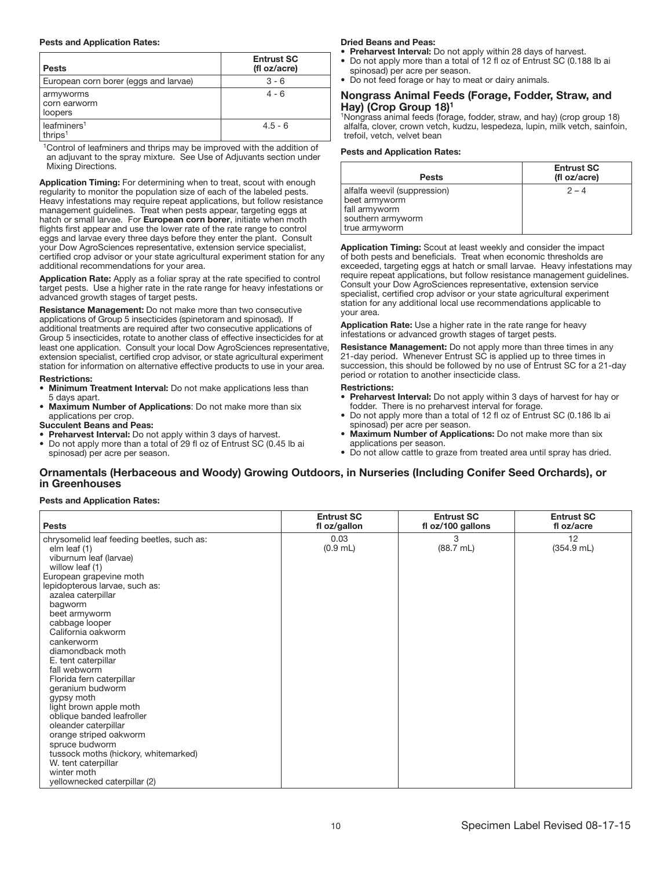## Pests and Application Rates:

| <b>Pests</b>                          | <b>Entrust SC</b><br>(fl oz/acre) |
|---------------------------------------|-----------------------------------|
| European corn borer (eggs and larvae) | $3 - 6$                           |
| armyworms<br>corn earworm<br>loopers  | $4 - 6$                           |
| leafminers <sup>1</sup><br>thrips $1$ | $4.5 - 6$                         |

<sup>1</sup>Control of leafminers and thrips may be improved with the addition of an adjuvant to the spray mixture. See Use of Adjuvants section under Mixing Directions.

Application Timing: For determining when to treat, scout with enough regularity to monitor the population size of each of the labeled pests. Heavy infestations may require repeat applications, but follow resistance management guidelines. Treat when pests appear, targeting eggs at hatch or small larvae. For European corn borer, initiate when moth flights first appear and use the lower rate of the rate range to control eggs and larvae every three days before they enter the plant. Consult your Dow AgroSciences representative, extension service specialist, certified crop advisor or your state agricultural experiment station for any additional recommendations for your area.

Application Rate: Apply as a foliar spray at the rate specified to control target pests. Use a higher rate in the rate range for heavy infestations or advanced growth stages of target pests.

Resistance Management: Do not make more than two consecutive applications of Group 5 insecticides (spinetoram and spinosad). If additional treatments are required after two consecutive applications of Group 5 insecticides, rotate to another class of effective insecticides for at least one application. Consult your local Dow AgroSciences representative, extension specialist, certified crop advisor, or state agricultural experiment station for information on alternative effective products to use in your area.

### Restrictions:

- Minimum Treatment Interval: Do not make applications less than 5 days apart.
- **Maximum Number of Applications:** Do not make more than six applications per crop.

### Succulent Beans and Peas:

- Preharvest Interval: Do not apply within 3 days of harvest.
- Do not apply more than a total of 29 fl oz of Entrust SC (0.45 lb ai spinosad) per acre per season.

### Dried Beans and Peas:

- Preharvest Interval: Do not apply within 28 days of harvest.
- Do not apply more than a total of 12 fl oz of Entrust SC (0.188 lb ai spinosad) per acre per season.
- Do not feed forage or hay to meat or dairy animals.

### Nongrass Animal Feeds (Forage, Fodder, Straw, and Hay) (Crop Group 18)1

<sup>1</sup>Nongrass animal feeds (forage, fodder, straw, and hay) (crop group 18) alfalfa, clover, crown vetch, kudzu, lespedeza, lupin, milk vetch, sainfoin, trefoil, vetch, velvet bean

## Pests and Application Rates:

| <b>Pests</b>                                                                                         | <b>Entrust SC</b><br>(fl oz/acre) |
|------------------------------------------------------------------------------------------------------|-----------------------------------|
| alfalfa weevil (suppression)<br>beet armyworm<br>fall armyworm<br>southern armyworm<br>true armyworm | $2 - 4$                           |

I Application Timing: Scout at least weekly and consider the impact of both pests and beneficials. Treat when economic thresholds are exceeded, targeting eggs at hatch or small larvae. Heavy infestations may require repeat applications, but follow resistance management guidelines. Consult your Dow AgroSciences representative, extension service specialist, certified crop advisor or your state agricultural experiment station for any additional local use recommendations applicable to your area.

Application Rate: Use a higher rate in the rate range for heavy infestations or advanced growth stages of target pests.

Resistance Management: Do not apply more than three times in any 21-day period. Whenever Entrust SC is applied up to three times in succession, this should be followed by no use of Entrust SC for a 21-day period or rotation to another insecticide class.

### Restrictions:

- Preharvest Interval: Do not apply within 3 days of harvest for hay or fodder. There is no preharvest interval for forage.
- Do not apply more than a total of 12 fl oz of Entrust SC (0.186 lb ai spinosad) per acre per season.
- Maximum Number of Applications: Do not make more than six applications per season.
- Do not allow cattle to graze from treated area until spray has dried.

### Ornamentals (Herbaceous and Woody) Growing Outdoors, in Nurseries (Including Conifer Seed Orchards), or in Greenhouses Ī

## Pests and Application Rates:

| <b>Pests</b>                               | <b>Entrust SC</b><br>fl oz/gallon | <b>Entrust SC</b><br>fl oz/100 gallons | <b>Entrust SC</b><br>fl oz/acre |
|--------------------------------------------|-----------------------------------|----------------------------------------|---------------------------------|
| chrysomelid leaf feeding beetles, such as: | 0.03                              | 3                                      | 12                              |
| elm leaf (1)                               | $(0.9$ mL)                        | (88.7 mL)                              | $(354.9$ mL)                    |
| viburnum leaf (larvae)                     |                                   |                                        |                                 |
| willow leaf (1)                            |                                   |                                        |                                 |
| European grapevine moth                    |                                   |                                        |                                 |
| lepidopterous larvae, such as:             |                                   |                                        |                                 |
| azalea caterpillar                         |                                   |                                        |                                 |
| bagworm                                    |                                   |                                        |                                 |
| beet armyworm<br>cabbage looper            |                                   |                                        |                                 |
| California oakworm                         |                                   |                                        |                                 |
| cankerworm                                 |                                   |                                        |                                 |
| diamondback moth                           |                                   |                                        |                                 |
| E. tent caterpillar                        |                                   |                                        |                                 |
| fall webworm                               |                                   |                                        |                                 |
| Florida fern caterpillar                   |                                   |                                        |                                 |
| geranium budworm                           |                                   |                                        |                                 |
| gypsy moth                                 |                                   |                                        |                                 |
| light brown apple moth                     |                                   |                                        |                                 |
| oblique banded leafroller                  |                                   |                                        |                                 |
| oleander caterpillar                       |                                   |                                        |                                 |
| orange striped oakworm                     |                                   |                                        |                                 |
| spruce budworm                             |                                   |                                        |                                 |
| tussock moths (hickory, whitemarked)       |                                   |                                        |                                 |
| W. tent caterpillar<br>winter moth         |                                   |                                        |                                 |
| yellownecked caterpillar (2)               |                                   |                                        |                                 |
|                                            |                                   |                                        |                                 |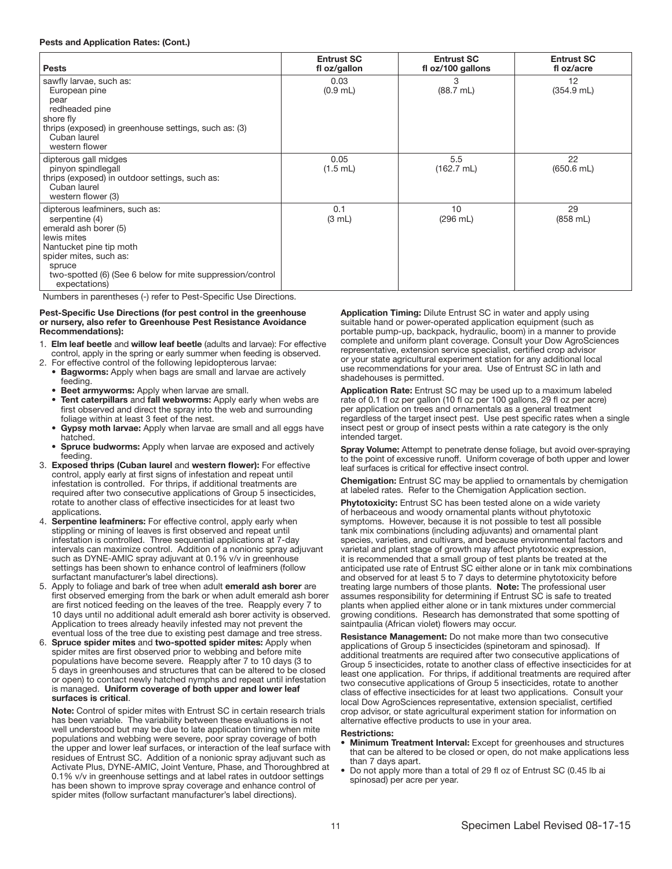### Pests and Application Rates: (Cont.)

| <b>Pests</b>                                                                                                                                                                                                                          | <b>Entrust SC</b><br>fl oz/gallon | <b>Entrust SC</b><br>fl oz/100 gallons | <b>Entrust SC</b><br>fl oz/acre |
|---------------------------------------------------------------------------------------------------------------------------------------------------------------------------------------------------------------------------------------|-----------------------------------|----------------------------------------|---------------------------------|
| sawfly larvae, such as:<br>European pine<br>pear<br>redheaded pine<br>shore fly<br>thrips (exposed) in greenhouse settings, such as: (3)<br>Cuban laurel<br>western flower                                                            | 0.03<br>$(0.9$ mL)                | 3<br>$(88.7 \text{ mL})$               | 12<br>$(354.9$ mL)              |
| dipterous gall midges<br>pinyon spindlegall<br>thrips (exposed) in outdoor settings, such as:<br>Cuban laurel<br>western flower (3)                                                                                                   | 0.05<br>$(1.5$ mL)                | 5.5<br>$(162.7 \text{ mL})$            | 22<br>$(650.6$ mL)              |
| dipterous leafminers, such as:<br>serpentine (4)<br>emerald ash borer (5)<br>lewis mites<br>Nantucket pine tip moth<br>spider mites, such as:<br>spruce<br>two-spotted (6) (See 6 below for mite suppression/control<br>expectations) | 0.1<br>$(3 \text{ mL})$           | 10<br>$(296 \text{ mL})$               | 29<br>$(858 \text{ mL})$        |

Numbers in parentheses (-) refer to Pest-Specific Use Directions.

### Pest-Specific Use Directions (for pest control in the greenhouse or nursery, also refer to Greenhouse Pest Resistance Avoidance Recommendations):

- 1. Elm leaf beetle and willow leaf beetle (adults and larvae): For effective control, apply in the spring or early summer when feeding is observed.
- 2. For effective control of the following lepidopterous larvae: • Bagworms: Apply when bags are small and larvae are actively feeding.
	- Beet armyworms: Apply when larvae are small.
	- Tent caterpillars and fall webworms: Apply early when webs are first observed and direct the spray into the web and surrounding foliage within at least 3 feet of the nest.
	- Gypsy moth larvae: Apply when larvae are small and all eggs have hatched.
	- **Spruce budworms:** Apply when larvae are exposed and actively feeding.
- 3. Exposed thrips (Cuban laurel and western flower): For effective control, apply early at first signs of infestation and repeat until infestation is controlled. For thrips, if additional treatments are required after two consecutive applications of Group 5 insecticides, rotate to another class of effective insecticides for at least two applications.
- 4. Serpentine leafminers: For effective control, apply early when stippling or mining of leaves is first observed and repeat until infestation is controlled. Three sequential applications at 7-day intervals can maximize control. Addition of a nonionic spray adjuvant such as DYNE-AMIC spray adjuvant at 0.1% v/v in greenhouse settings has been shown to enhance control of leafminers (follow surfactant manufacturer's label directions).
- 5. Apply to foliage and bark of tree when adult emerald ash borer are first observed emerging from the bark or when adult emerald ash borer are first noticed feeding on the leaves of the tree. Reapply every 7 to 10 days until no additional adult emerald ash borer activity is observed. Application to trees already heavily infested may not prevent the eventual loss of the tree due to existing pest damage and tree stress.
- 6. Spruce spider mites and two-spotted spider mites: Apply when spider mites are first observed prior to webbing and before mite populations have become severe. Reapply after 7 to 10 days (3 to 5 days in greenhouses and structures that can be altered to be closed or open) to contact newly hatched nymphs and repeat until infestation is managed. Uniform coverage of both upper and lower leaf surfaces is critical.

Note: Control of spider mites with Entrust SC in certain research trials has been variable. The variability between these evaluations is not well understood but may be due to late application timing when mite populations and webbing were severe, poor spray coverage of both the upper and lower leaf surfaces, or interaction of the leaf surface with residues of Entrust SC. Addition of a nonionic spray adjuvant such as Activate Plus, DYNE-AMIC, Joint Venture, Phase, and Thoroughbred at 0.1% v/v in greenhouse settings and at label rates in outdoor settings has been shown to improve spray coverage and enhance control of spider mites (follow surfactant manufacturer's label directions).

Application Timing: Dilute Entrust SC in water and apply using suitable hand or power-operated application equipment (such as portable pump-up, backpack, hydraulic, boom) in a manner to provide complete and uniform plant coverage. Consult your Dow AgroSciences representative, extension service specialist, certified crop advisor or your state agricultural experiment station for any additional local use recommendations for your area. Use of Entrust SC in lath and shadehouses is permitted.

Application Rate: Entrust SC may be used up to a maximum labeled rate of 0.1 fl oz per gallon (10 fl oz per 100 gallons, 29 fl oz per acre) per application on trees and ornamentals as a general treatment regardless of the target insect pest. Use pest specific rates when a single insect pest or group of insect pests within a rate category is the only intended target.

Spray Volume: Attempt to penetrate dense foliage, but avoid over-spraying to the point of excessive runoff. Uniform coverage of both upper and lower leaf surfaces is critical for effective insect control.

Chemigation: Entrust SC may be applied to ornamentals by chemigation at labeled rates. Refer to the Chemigation Application section.

Phytotoxicity: Entrust SC has been tested alone on a wide variety of herbaceous and woody ornamental plants without phytotoxic symptoms. However, because it is not possible to test all possible tank mix combinations (including adjuvants) and ornamental plant species, varieties, and cultivars, and because environmental factors and varietal and plant stage of growth may affect phytotoxic expression, it is recommended that a small group of test plants be treated at the anticipated use rate of Entrust SC either alone or in tank mix combinations and observed for at least 5 to 7 days to determine phytotoxicity before treating large numbers of those plants. Note: The professional user assumes responsibility for determining if Entrust SC is safe to treated plants when applied either alone or in tank mixtures under commercial growing conditions. Research has demonstrated that some spotting of saintpaulia (African violet) flowers may occur.

Resistance Management: Do not make more than two consecutive applications of Group 5 insecticides (spinetoram and spinosad). If additional treatments are required after two consecutive applications of Group 5 insecticides, rotate to another class of effective insecticides for at least one application. For thrips, if additional treatments are required after two consecutive applications of Group 5 insecticides, rotate to another class of effective insecticides for at least two applications. Consult your local Dow AgroSciences representative, extension specialist, certified crop advisor, or state agricultural experiment station for information on alternative effective products to use in your area.

- Minimum Treatment Interval: Except for greenhouses and structures that can be altered to be closed or open, do not make applications less than 7 days apart.
- Do not apply more than a total of 29 fl oz of Entrust SC (0.45 lb ai spinosad) per acre per year.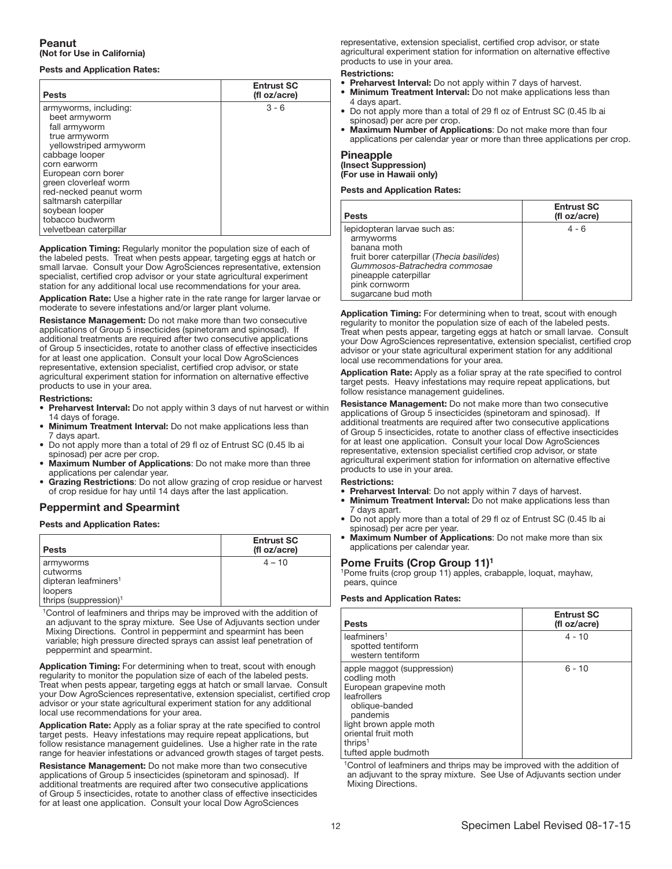## Peanut (Not for Use in California)

## Pests and Application Rates:

| <b>Pests</b>           | <b>Entrust SC</b><br>(fl oz/acre) |
|------------------------|-----------------------------------|
| armyworms, including:  | $3 - 6$                           |
| beet armyworm          |                                   |
| fall armyworm          |                                   |
| true armyworm          |                                   |
| yellowstriped armyworm |                                   |
| cabbage looper         |                                   |
| corn earworm           |                                   |
| European corn borer    |                                   |
| green cloverleaf worm  |                                   |
| red-necked peanut worm |                                   |
| saltmarsh caterpillar  |                                   |
| soybean looper         |                                   |
| tobacco budworm        |                                   |
| velvetbean caterpillar |                                   |

Application Timing: Regularly monitor the population size of each of the labeled pests. Treat when pests appear, targeting eggs at hatch or small larvae. Consult your Dow AgroSciences representative, extension specialist, certified crop advisor or your state agricultural experiment station for any additional local use recommendations for your area.

Application Rate: Use a higher rate in the rate range for larger larvae or moderate to severe infestations and/or larger plant volume.

Resistance Management: Do not make more than two consecutive applications of Group 5 insecticides (spinetoram and spinosad). If additional treatments are required after two consecutive applications of Group 5 insecticides, rotate to another class of effective insecticides for at least one application. Consult your local Dow AgroSciences representative, extension specialist, certified crop advisor, or state agricultural experiment station for information on alternative effective products to use in your area.

### Restrictions:

- Preharvest Interval: Do not apply within 3 days of nut harvest or within 14 days of forage.
- **Minimum Treatment Interval:** Do not make applications less than 7 days apart.
- Do not apply more than a total of 29 fl oz of Entrust SC (0.45 lb ai spinosad) per acre per crop.
- Maximum Number of Applications: Do not make more than three applications per calendar year.
- Grazing Restrictions: Do not allow grazing of crop residue or harvest of crop residue for hay until 14 days after the last application.

## Peppermint and Spearmint

## Pests and Application Rates:

| <b>Pests</b>                                                                                              | <b>Entrust SC</b><br>(fl oz/acre) |
|-----------------------------------------------------------------------------------------------------------|-----------------------------------|
| armyworms<br>cutworms<br>dipteran leafminers <sup>1</sup><br>loopers<br>thrips (suppression) <sup>1</sup> | $4 - 10$                          |

<sup>1</sup>Control of leafminers and thrips may be improved with the addition of an adjuvant to the spray mixture. See Use of Adjuvants section under Mixing Directions. Control in peppermint and spearmint has been variable; high pressure directed sprays can assist leaf penetration of peppermint and spearmint.

Application Timing: For determining when to treat, scout with enough regularity to monitor the population size of each of the labeled pests. Treat when pests appear, targeting eggs at hatch or small larvae. Consult your Dow AgroSciences representative, extension specialist, certified crop advisor or your state agricultural experiment station for any additional local use recommendations for your area.

Application Rate: Apply as a foliar spray at the rate specified to control target pests. Heavy infestations may require repeat applications, but follow resistance management guidelines. Use a higher rate in the rate range for heavier infestations or advanced growth stages of target pests.

Resistance Management: Do not make more than two consecutive applications of Group 5 insecticides (spinetoram and spinosad). If additional treatments are required after two consecutive applications of Group 5 insecticides, rotate to another class of effective insecticides for at least one application. Consult your local Dow AgroSciences

representative, extension specialist, certified crop advisor, or state agricultural experiment station for information on alternative effective products to use in your area.

### Restrictions:

- Preharvest Interval: Do not apply within 7 days of harvest.
- Minimum Treatment Interval: Do not make applications less than 4 days apart.
- Do not apply more than a total of 29 fl oz of Entrust SC (0.45 lb ai spinosad) per acre per crop.
- Maximum Number of Applications: Do not make more than four applications per calendar year or more than three applications per crop.

### Pineapple

(Insect Suppression) (For use in Hawaii only)

## Pests and Application Rates:

| <b>Pests</b>                                                                                                                                                                                            | <b>Entrust SC</b><br>(fl oz/acre) |
|---------------------------------------------------------------------------------------------------------------------------------------------------------------------------------------------------------|-----------------------------------|
| lepidopteran larvae such as:<br>armyworms<br>banana moth<br>fruit borer caterpillar (Thecia basilides)<br>Gummosos-Batrachedra commosae<br>pineapple caterpillar<br>pink cornworm<br>sugarcane bud moth | $4 - 6$                           |

Ī Application Timing: For determining when to treat, scout with enough regularity to monitor the population size of each of the labeled pests. Treat when pests appear, targeting eggs at hatch or small larvae. Consult your Dow AgroSciences representative, extension specialist, certified crop advisor or your state agricultural experiment station for any additional local use recommendations for your area.

Application Rate: Apply as a foliar spray at the rate specified to control target pests. Heavy infestations may require repeat applications, but follow resistance management guidelines.

Resistance Management: Do not make more than two consecutive applications of Group 5 insecticides (spinetoram and spinosad). If additional treatments are required after two consecutive applications of Group 5 insecticides, rotate to another class of effective insecticides for at least one application. Consult your local Dow AgroSciences representative, extension specialist certified crop advisor, or state agricultural experiment station for information on alternative effective products to use in your area.

### Restrictions:

- Preharvest Interval: Do not apply within 7 days of harvest.
- Minimum Treatment Interval: Do not make applications less than 7 days apart.
- Do not apply more than a total of 29 fl oz of Entrust SC (0.45 lb ai spinosad) per acre per year.
- Maximum Number of Applications: Do not make more than six applications per calendar year.

### Pome Fruits (Crop Group 11)1

1Pome fruits (crop group 11) apples, crabapple, loquat, mayhaw, pears, quince

## Pests and Application Rates:

| <b>Pests</b>                                                                                                                                                                                                       | <b>Entrust SC</b><br>(fl oz/acre) |
|--------------------------------------------------------------------------------------------------------------------------------------------------------------------------------------------------------------------|-----------------------------------|
| leafminers <sup>1</sup><br>spotted tentiform<br>western tentiform                                                                                                                                                  | $4 - 10$                          |
| apple maggot (suppression)<br>codling moth<br>European grapevine moth<br>leafrollers<br>oblique-banded<br>pandemis<br>light brown apple moth<br>oriental fruit moth<br>thrips <sup>1</sup><br>tufted apple budmoth | $6 - 10$                          |

<sup>1</sup>Control of leafminers and thrips may be improved with the addition of an adjuvant to the spray mixture. See Use of Adjuvants section under Mixing Directions.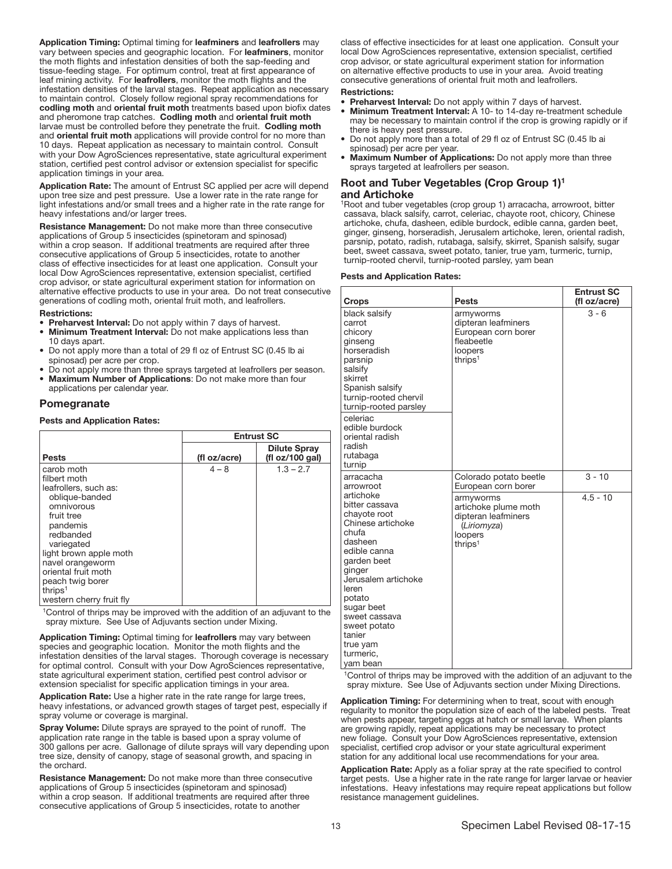Application Timing: Optimal timing for leafminers and leafrollers may vary between species and geographic location. For leafminers, monitor the moth flights and infestation densities of both the sap-feeding and tissue-feeding stage. For optimum control, treat at first appearance of leaf mining activity. For leafrollers, monitor the moth flights and the infestation densities of the larval stages. Repeat application as necessary to maintain control. Closely follow regional spray recommendations for codling moth and oriental fruit moth treatments based upon biofix dates and pheromone trap catches. Codling moth and oriental fruit moth larvae must be controlled before they penetrate the fruit. Codling moth and oriental fruit moth applications will provide control for no more than 10 days. Repeat application as necessary to maintain control. Consult with your Dow AgroSciences representative, state agricultural experiment station, certified pest control advisor or extension specialist for specific application timings in your area.

Application Rate: The amount of Entrust SC applied per acre will depend upon tree size and pest pressure. Use a lower rate in the rate range for light infestations and/or small trees and a higher rate in the rate range for heavy infestations and/or larger trees.

Resistance Management: Do not make more than three consecutive applications of Group 5 insecticides (spinetoram and spinosad) within a crop season. If additional treatments are required after three consecutive applications of Group 5 insecticides, rotate to another class of effective insecticides for at least one application. Consult your local Dow AgroSciences representative, extension specialist, certified crop advisor, or state agricultural experiment station for information on alternative effective products to use in your area. Do not treat consecutive generations of codling moth, oriental fruit moth, and leafrollers.

### Restrictions:

- Preharvest Interval: Do not apply within 7 days of harvest.
- Minimum Treatment Interval: Do not make applications less than 10 days apart.
- Do not apply more than a total of 29 fl oz of Entrust SC (0.45 lb ai spinosad) per acre per crop.
- Do not apply more than three sprays targeted at leafrollers per season. • Maximum Number of Applications: Do not make more than four
- applications per calendar year.

## Pomegranate

## Pests and Application Rates:

|                          | <b>Entrust SC</b> |                                        |
|--------------------------|-------------------|----------------------------------------|
| <b>Pests</b>             | (fl oz/acre)      | <b>Dilute Spray</b><br>(fl oz/100 gal) |
| carob moth               | $4 - 8$           | $1.3 - 2.7$                            |
| filbert moth             |                   |                                        |
| leafrollers, such as:    |                   |                                        |
| oblique-banded           |                   |                                        |
| omnivorous               |                   |                                        |
| fruit tree               |                   |                                        |
| pandemis                 |                   |                                        |
| redbanded                |                   |                                        |
| variegated               |                   |                                        |
| light brown apple moth   |                   |                                        |
| navel orangeworm         |                   |                                        |
| oriental fruit moth      |                   |                                        |
| peach twig borer         |                   |                                        |
| thrips <sup>1</sup>      |                   |                                        |
| western cherry fruit fly |                   |                                        |

<sup>1</sup>Control of thrips may be improved with the addition of an adjuvant to the spray mixture. See Use of Adjuvants section under Mixing.

Application Timing: Optimal timing for leafrollers may vary between species and geographic location. Monitor the moth flights and the infestation densities of the larval stages. Thorough coverage is necessary for optimal control. Consult with your Dow AgroSciences representative, state agricultural experiment station, certified pest control advisor or extension specialist for specific application timings in your area.

Application Rate: Use a higher rate in the rate range for large trees, heavy infestations, or advanced growth stages of target pest, especially if spray volume or coverage is marginal.

Spray Volume: Dilute sprays are sprayed to the point of runoff. The application rate range in the table is based upon a spray volume of 300 gallons per acre. Gallonage of dilute sprays will vary depending upon tree size, density of canopy, stage of seasonal growth, and spacing in the orchard.

Resistance Management: Do not make more than three consecutive applications of Group 5 insecticides (spinetoram and spinosad) within a crop season. If additional treatments are required after three consecutive applications of Group 5 insecticides, rotate to another

class of effective insecticides for at least one application. Consult your local Dow AgroSciences representative, extension specialist, certified crop advisor, or state agricultural experiment station for information on alternative effective products to use in your area. Avoid treating consecutive generations of oriental fruit moth and leafrollers.

## Restrictions:

- **Preharvest Interval:** Do not apply within 7 days of harvest. • Minimum Treatment Interval: A 10- to 14-day re-treatment schedule may be necessary to maintain control if the crop is growing rapidly or if
- there is heavy pest pressure. • Do not apply more than a total of 29 fl oz of Entrust SC (0.45 lb ai spinosad) per acre per year.
- Maximum Number of Applications: Do not apply more than three sprays targeted at leafrollers per season.

### Root and Tuber Vegetables (Crop Group 1)1 and Artichoke

1Root and tuber vegetables (crop group 1) arracacha, arrowroot, bitter cassava, black salsify, carrot, celeriac, chayote root, chicory, Chinese artichoke, chufa, dasheen, edible burdock, edible canna, garden beet, ginger, ginseng, horseradish, Jerusalem artichoke, leren, oriental radish, parsnip, potato, radish, rutabaga, salsify, skirret, Spanish salsify, sugar beet, sweet cassava, sweet potato, tanier, true yam, turmeric, turnip, turnip-rooted chervil, turnip-rooted parsley, yam bean

## Pests and Application Rates:

| Crops                                                                                                                                                                                                                                                                 | Pests                                                                                                     | <b>Entrust SC</b><br>(fl oz/acre) |
|-----------------------------------------------------------------------------------------------------------------------------------------------------------------------------------------------------------------------------------------------------------------------|-----------------------------------------------------------------------------------------------------------|-----------------------------------|
| black salsify<br>carrot<br>chicory<br>ginseng<br>horseradish<br>parsnip<br>salsify<br>skirret<br>Spanish salsify<br>turnip-rooted chervil<br>turnip-rooted parsley<br>celeriac<br>edible burdock<br>oriental radish<br>radish<br>rutabaga<br>turnip                   | armyworms<br>dipteran leafminers<br>European corn borer<br>fleabeetle<br>loopers<br>thrips <sup>1</sup>   | $3 - 6$                           |
| arracacha<br>arrowroot                                                                                                                                                                                                                                                | Colorado potato beetle<br>European corn borer                                                             | $3 - 10$                          |
| artichoke<br>bitter cassava<br>chayote root<br>Chinese artichoke<br>chufa<br>dasheen<br>edible canna<br>garden beet<br>ginger<br>Jerusalem artichoke<br>leren<br>potato<br>sugar beet<br>sweet cassava<br>sweet potato<br>tanier<br>true yam<br>turmeric,<br>yam bean | armyworms<br>artichoke plume moth<br>dipteran leafminers<br>(Liriomyza)<br>loopers<br>thrips <sup>1</sup> | $4.5 - 10$                        |

<sup>1</sup>Control of thrips may be improved with the addition of an adjuvant to the spray mixture. See Use of Adjuvants section under Mixing Directions.

Application Timing: For determining when to treat, scout with enough regularity to monitor the population size of each of the labeled pests. Treat when pests appear, targeting eggs at hatch or small larvae. When plants are growing rapidly, repeat applications may be necessary to protect new foliage. Consult your Dow AgroSciences representative, extension specialist, certified crop advisor or your state agricultural experiment station for any additional local use recommendations for your area.

Application Rate: Apply as a foliar spray at the rate specified to control target pests. Use a higher rate in the rate range for larger larvae or heavier infestations. Heavy infestations may require repeat applications but follow resistance management guidelines.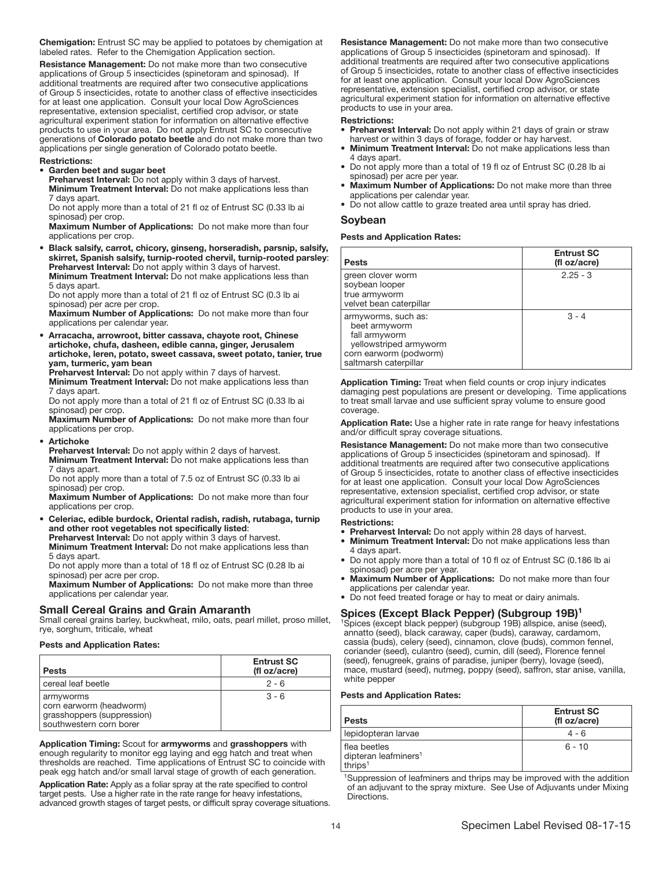Chemigation: Entrust SC may be applied to potatoes by chemigation at labeled rates. Refer to the Chemigation Application section.

Resistance Management: Do not make more than two consecutive applications of Group 5 insecticides (spinetoram and spinosad). If additional treatments are required after two consecutive applications of Group 5 insecticides, rotate to another class of effective insecticides for at least one application. Consult your local Dow AgroSciences representative, extension specialist, certified crop advisor, or state agricultural experiment station for information on alternative effective products to use in your area. Do not apply Entrust SC to consecutive generations of Colorado potato beetle and do not make more than two applications per single generation of Colorado potato beetle.

### Restrictions:

### • Garden beet and sugar beet

Preharvest Interval: Do not apply within 3 days of harvest.

**Minimum Treatment Interval:** Do not make applications less than 7 days apart.

Do not apply more than a total of 21 fl oz of Entrust SC (0.33 lb ai spinosad) per crop.

Maximum Number of Applications: Do not make more than four applications per crop.

• Black salsify, carrot, chicory, ginseng, horseradish, parsnip, salsify, skirret, Spanish salsify, turnip-rooted chervil, turnip-rooted parsley: Preharvest Interval: Do not apply within 3 days of harvest.

Minimum Treatment Interval: Do not make applications less than 5 days apart.

Do not apply more than a total of 21 fl oz of Entrust SC (0.3 lb ai spinosad) per acre per crop.

Maximum Number of Applications: Do not make more than four applications per calendar year.

• Arracacha, arrowroot, bitter cassava, chayote root, Chinese artichoke, chufa, dasheen, edible canna, ginger, Jerusalem artichoke, leren, potato, sweet cassava, sweet potato, tanier, true yam, turmeric, yam bean

Preharvest Interval: Do not apply within 7 days of harvest.

Minimum Treatment Interval: Do not make applications less than 7 days apart.

Do not apply more than a total of 21 fl oz of Entrust SC (0.33 lb ai spinosad) per crop.

Maximum Number of Applications: Do not make more than four applications per crop.

**Artichoke** 

Preharvest Interval: Do not apply within 2 days of harvest. Minimum Treatment Interval: Do not make applications less than 7 days apart.

Do not apply more than a total of 7.5 oz of Entrust SC (0.33 lb ai spinosad) per crop.

Maximum Number of Applications: Do not make more than four applications per crop.

• Celeriac, edible burdock, Oriental radish, radish, rutabaga, turnip and other root vegetables not specifically listed: Preharvest Interval: Do not apply within 3 days of harvest.

Minimum Treatment Interval: Do not make applications less than 5 days apart.

Do not apply more than a total of 18 fl oz of Entrust SC (0.28 lb ai spinosad) per acre per crop.

Maximum Number of Applications: Do not make more than three applications per calendar year.

### Small Cereal Grains and Grain Amaranth

Small cereal grains barley, buckwheat, milo, oats, pearl millet, proso millet, rye, sorghum, triticale, wheat

## Pests and Application Rates:

| <b>Pests</b>                                                                                  | <b>Entrust SC</b><br>(fl oz/acre) |
|-----------------------------------------------------------------------------------------------|-----------------------------------|
| cereal leaf beetle                                                                            | $2 - 6$                           |
| armyworms<br>corn earworm (headworm)<br>grasshoppers (suppression)<br>southwestern corn borer | $3 - 6$                           |

Application Timing: Scout for armyworms and grasshoppers with enough regularity to monitor egg laying and egg hatch and treat when thresholds are reached. Time applications of Entrust SC to coincide with peak egg hatch and/or small larval stage of growth of each generation.

Application Rate: Apply as a foliar spray at the rate specified to control target pests. Use a higher rate in the rate range for heavy infestations, advanced growth stages of target pests, or difficult spray coverage situations. Resistance Management: Do not make more than two consecutive applications of Group 5 insecticides (spinetoram and spinosad). If additional treatments are required after two consecutive applications of Group 5 insecticides, rotate to another class of effective insecticides for at least one application. Consult your local Dow AgroSciences representative, extension specialist, certified crop advisor, or state agricultural experiment station for information on alternative effective products to use in your area.

### Restrictions:

- Preharvest Interval: Do not apply within 21 days of grain or straw harvest or within 3 days of forage, fodder or hay harvest.
- **Minimum Treatment Interval:** Do not make applications less than 4 days apart.
- Do not apply more than a total of 19 fl oz of Entrust SC (0.28 lb ai spinosad) per acre per year.
- Maximum Number of Applications: Do not make more than three applications per calendar year.
- Do not allow cattle to graze treated area until spray has dried.

### Soybean

## Pests and Application Rates:

| <b>Pests</b>                                                                                                                       | <b>Entrust SC</b><br>(fl oz/acre) |
|------------------------------------------------------------------------------------------------------------------------------------|-----------------------------------|
| green clover worm<br>soybean looper<br>true armyworm<br>velvet bean caterpillar                                                    | $2.25 - 3$                        |
| armyworms, such as:<br>beet armyworm<br>fall armyworm<br>yellowstriped armyworm<br>corn earworm (podworm)<br>saltmarsh caterpillar | $3 - 4$                           |

Ī Application Timing: Treat when field counts or crop injury indicates damaging pest populations are present or developing. Time applications to treat small larvae and use sufficient spray volume to ensure good coverage.

Application Rate: Use a higher rate in rate range for heavy infestations and/or difficult spray coverage situations.

Resistance Management: Do not make more than two consecutive applications of Group 5 insecticides (spinetoram and spinosad). If additional treatments are required after two consecutive applications of Group 5 insecticides, rotate to another class of effective insecticides for at least one application. Consult your local Dow AgroSciences representative, extension specialist, certified crop advisor, or state agricultural experiment station for information on alternative effective products to use in your area.

### Restrictions:

- Preharvest Interval: Do not apply within 28 days of harvest.
- Minimum Treatment Interval: Do not make applications less than 4 days apart.
- Do not apply more than a total of 10 fl oz of Entrust SC (0.186 lb ai spinosad) per acre per year.
- Maximum Number of Applications: Do not make more than four applications per calendar year.
- Do not feed treated forage or hay to meat or dairy animals.

### Spices (Except Black Pepper) (Subgroup 19B)1

1Spices (except black pepper) (subgroup 19B) allspice, anise (seed), annatto (seed), black caraway, caper (buds), caraway, cardamom, cassia (buds), celery (seed), cinnamon, clove (buds), common fennel, coriander (seed), culantro (seed), cumin, dill (seed), Florence fennel (seed), fenugreek, grains of paradise, juniper (berry), lovage (seed), mace, mustard (seed), nutmeg, poppy (seed), saffron, star anise, vanilla, white pepper

## Pests and Application Rates:

| <b>Pests</b>                                                   | <b>Entrust SC</b><br>(fl oz/acre) |
|----------------------------------------------------------------|-----------------------------------|
| lepidopteran larvae                                            | $4 - 6$                           |
| flea beetles<br>dipteran leafminers <sup>1</sup><br>thrips $1$ | $6 - 10$                          |

<sup>1</sup>Suppression of leafminers and thrips may be improved with the addition of an adjuvant to the spray mixture. See Use of Adjuvants under Mixing Directions.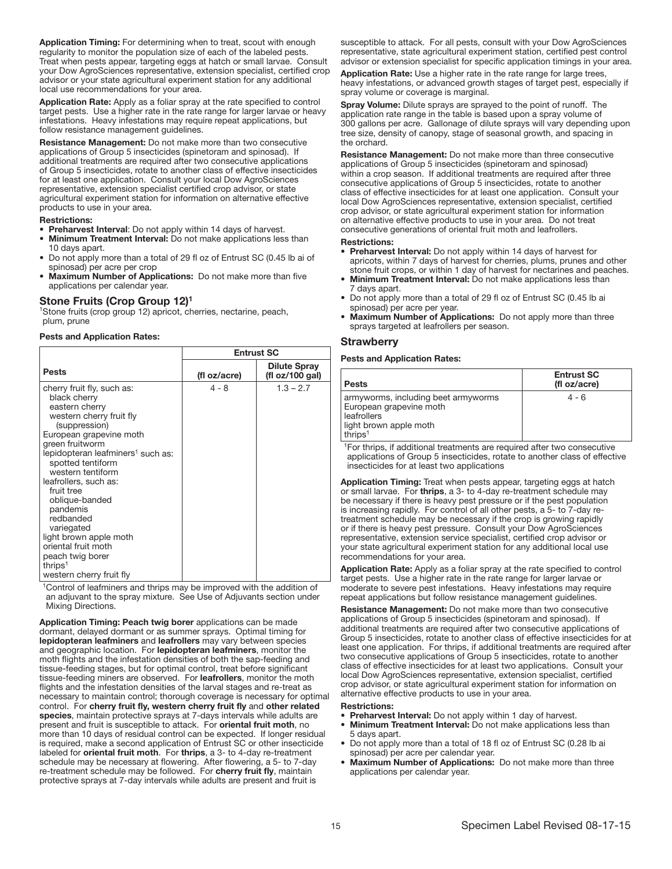Application Timing: For determining when to treat, scout with enough regularity to monitor the population size of each of the labeled pests. Treat when pests appear, targeting eggs at hatch or small larvae. Consult your Dow AgroSciences representative, extension specialist, certified crop advisor or your state agricultural experiment station for any additional local use recommendations for your area.

Application Rate: Apply as a foliar spray at the rate specified to control target pests. Use a higher rate in the rate range for larger larvae or heavy infestations. Heavy infestations may require repeat applications, but follow resistance management guidelines.

Resistance Management: Do not make more than two consecutive applications of Group 5 insecticides (spinetoram and spinosad). If additional treatments are required after two consecutive applications of Group 5 insecticides, rotate to another class of effective insecticides for at least one application. Consult your local Dow AgroSciences representative, extension specialist certified crop advisor, or state agricultural experiment station for information on alternative effective products to use in your area.

### Restrictions:

- Preharvest Interval: Do not apply within 14 days of harvest.
- Minimum Treatment Interval: Do not make applications less than 10 days apart.
- Do not apply more than a total of 29 fl oz of Entrust SC (0.45 lb ai of spinosad) per acre per crop
- Maximum Number of Applications: Do not make more than five applications per calendar year.

### Stone Fruits (Crop Group 12)<sup>1</sup>

<sup>1</sup>Stone fruits (crop group 12) apricot, cherries, nectarine, peach, plum, prune

## Pests and Application Rates:

|                                                                                                                                                                                                                                                                                                                                                                                                                                                                            | <b>Entrust SC</b> |                                        |
|----------------------------------------------------------------------------------------------------------------------------------------------------------------------------------------------------------------------------------------------------------------------------------------------------------------------------------------------------------------------------------------------------------------------------------------------------------------------------|-------------------|----------------------------------------|
| <b>Pests</b>                                                                                                                                                                                                                                                                                                                                                                                                                                                               | (fl oz/acre)      | <b>Dilute Spray</b><br>(fl oz/100 gal) |
| cherry fruit fly, such as:<br>black cherry<br>eastern cherry<br>western cherry fruit fly<br>(suppression)<br>European grapevine moth<br>green fruitworm<br>lepidopteran leafminers <sup>1</sup> such as:<br>spotted tentiform<br>western tentiform<br>leafrollers, such as:<br>fruit tree<br>oblique-banded<br>pandemis<br>redbanded<br>variegated<br>light brown apple moth<br>oriental fruit moth<br>peach twig borer<br>thrips <sup>1</sup><br>western cherry fruit fly | $4 - 8$           | $1.3 - 2.7$                            |

<sup>1</sup>Control of leafminers and thrips may be improved with the addition of an adjuvant to the spray mixture. See Use of Adjuvants section under Mixing Directions.

Application Timing: Peach twig borer applications can be made dormant, delayed dormant or as summer sprays. Optimal timing for lepidopteran leafminers and leafrollers may vary between species and geographic location. For lepidopteran leafminers, monitor the moth flights and the infestation densities of both the sap-feeding and tissue-feeding stages, but for optimal control, treat before significant tissue-feeding miners are observed. For leafrollers, monitor the moth flights and the infestation densities of the larval stages and re-treat as necessary to maintain control; thorough coverage is necessary for optimal control. For cherry fruit fly, western cherry fruit fly and other related species, maintain protective sprays at 7-days intervals while adults are present and fruit is susceptible to attack. For oriental fruit moth, no more than 10 days of residual control can be expected. If longer residual is required, make a second application of Entrust SC or other insecticide labeled for oriental fruit moth. For thrips, a 3- to 4-day re-treatment schedule may be necessary at flowering. After flowering, a 5- to 7-day re-treatment schedule may be followed. For cherry fruit fly, maintain protective sprays at 7-day intervals while adults are present and fruit is

susceptible to attack. For all pests, consult with your Dow AgroSciences representative, state agricultural experiment station, certified pest control advisor or extension specialist for specific application timings in your area.

Application Rate: Use a higher rate in the rate range for large trees, heavy infestations, or advanced growth stages of target pest, especially if spray volume or coverage is marginal.

Spray Volume: Dilute sprays are sprayed to the point of runoff. The application rate range in the table is based upon a spray volume of 300 gallons per acre. Gallonage of dilute sprays will vary depending upon tree size, density of canopy, stage of seasonal growth, and spacing in the orchard.

Resistance Management: Do not make more than three consecutive applications of Group 5 insecticides (spinetoram and spinosad) within a crop season. If additional treatments are required after three consecutive applications of Group 5 insecticides, rotate to another class of effective insecticides for at least one application. Consult your local Dow AgroSciences representative, extension specialist, certified crop advisor, or state agricultural experiment station for information on alternative effective products to use in your area. Do not treat consecutive generations of oriental fruit moth and leafrollers.

### Restrictions:

- Preharvest Interval: Do not apply within 14 days of harvest for apricots, within 7 days of harvest for cherries, plums, prunes and other stone fruit crops, or within 1 day of harvest for nectarines and peaches.
- Minimum Treatment Interval: Do not make applications less than 7 days apart.
- Do not apply more than a total of 29 fl oz of Entrust SC (0.45 lb ai spinosad) per acre per year.
- Maximum Number of Applications: Do not apply more than three sprays targeted at leafrollers per season.

### **Strawberry**

## Pests and Application Rates:

| <b>Pests</b>                                                                                                          | <b>Entrust SC</b><br>(fl oz/acre) |
|-----------------------------------------------------------------------------------------------------------------------|-----------------------------------|
| armyworms, including beet armyworms<br>European grapevine moth<br>leafrollers<br>light brown apple moth<br>thrips $1$ | $4 - 6$                           |

<sup>1</sup>For thrips, if additional treatments are required after two consecutive applications of Group 5 insecticides, rotate to another class of effective insecticides for at least two applications

Application Timing: Treat when pests appear, targeting eggs at hatch or small larvae. For thrips, a 3- to 4-day re-treatment schedule may be necessary if there is heavy pest pressure or if the pest population is increasing rapidly. For control of all other pests, a 5- to 7-day retreatment schedule may be necessary if the crop is growing rapidly or if there is heavy pest pressure. Consult your Dow AgroSciences representative, extension service specialist, certified crop advisor or your state agricultural experiment station for any additional local use recommendations for your area.

Application Rate: Apply as a foliar spray at the rate specified to control target pests. Use a higher rate in the rate range for larger larvae or moderate to severe pest infestations. Heavy infestations may require repeat applications but follow resistance management guidelines.

Resistance Management: Do not make more than two consecutive applications of Group 5 insecticides (spinetoram and spinosad). If additional treatments are required after two consecutive applications of Group 5 insecticides, rotate to another class of effective insecticides for at least one application. For thrips, if additional treatments are required after two consecutive applications of Group 5 insecticides, rotate to another class of effective insecticides for at least two applications. Consult your local Dow AgroSciences representative, extension specialist, certified crop advisor, or state agricultural experiment station for information on alternative effective products to use in your area.

- Preharvest Interval: Do not apply within 1 day of harvest.
- Minimum Treatment Interval: Do not make applications less than 5 days apart.
- Do not apply more than a total of 18 fl oz of Entrust SC (0.28 lb ai spinosad) per acre per calendar year.
- Maximum Number of Applications: Do not make more than three applications per calendar year.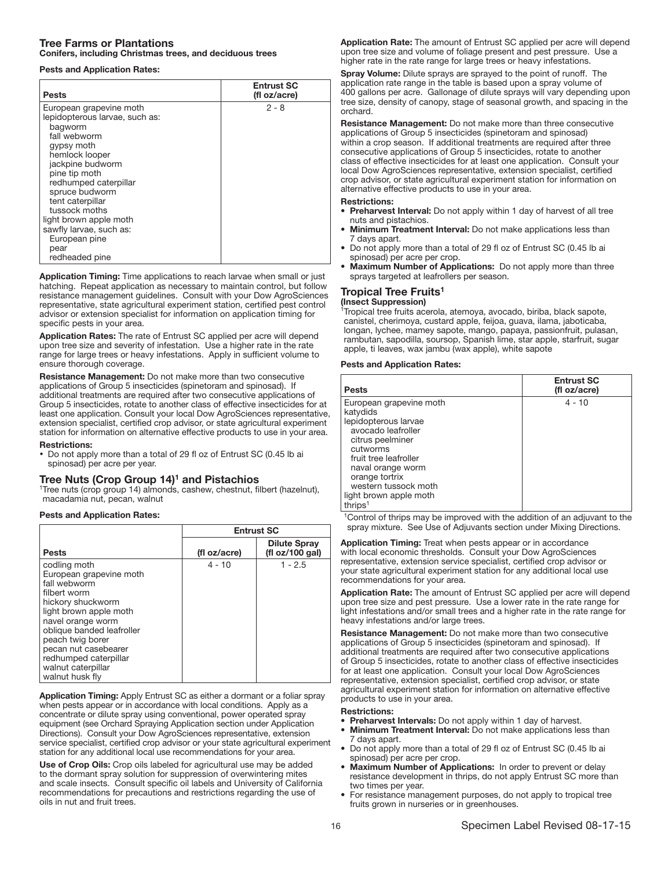## Tree Farms or Plantations Conifers, including Christmas trees, and deciduous trees

## Pests and Application Rates:

| <b>Pests</b>                                                                                                                                                                                                                                                                                                                              | <b>Entrust SC</b><br>(fl oz/acre) |
|-------------------------------------------------------------------------------------------------------------------------------------------------------------------------------------------------------------------------------------------------------------------------------------------------------------------------------------------|-----------------------------------|
| European grapevine moth<br>lepidopterous larvae, such as:<br>bagworm<br>fall webworm<br>gypsy moth<br>hemlock looper<br>jackpine budworm<br>pine tip moth<br>redhumped caterpillar<br>spruce budworm<br>tent caterpillar<br>tussock moths<br>light brown apple moth<br>sawfly larvae, such as:<br>European pine<br>pear<br>redheaded pine | $2 - 8$                           |

Application Timing: Time applications to reach larvae when small or just hatching. Repeat application as necessary to maintain control, but follow resistance management guidelines. Consult with your Dow AgroSciences representative, state agricultural experiment station, certified pest control advisor or extension specialist for information on application timing for specific pests in your area.

Application Rates: The rate of Entrust SC applied per acre will depend upon tree size and severity of infestation. Use a higher rate in the rate range for large trees or heavy infestations. Apply in sufficient volume to ensure thorough coverage.

Resistance Management: Do not make more than two consecutive applications of Group 5 insecticides (spinetoram and spinosad). If additional treatments are required after two consecutive applications of Group 5 insecticides, rotate to another class of effective insecticides for at least one application. Consult your local Dow AgroSciences representative, extension specialist, certified crop advisor, or state agricultural experiment station for information on alternative effective products to use in your area.

### Restrictions:

Ï

• Do not apply more than a total of 29 fl oz of Entrust SC (0.45 lb ai spinosad) per acre per year.

**Tree Nuts (Crop Group 14)<sup>1</sup> and Pistachios** 1Tree nuts (crop group 14) almonds, cashew, chestnut, filbert (hazelnut), macadamia nut, pecan, walnut

## Pests and Application Rates:

|                                                                                                                                                                                                                                                                                        | <b>Entrust SC</b> |                                        |
|----------------------------------------------------------------------------------------------------------------------------------------------------------------------------------------------------------------------------------------------------------------------------------------|-------------------|----------------------------------------|
| <b>Pests</b>                                                                                                                                                                                                                                                                           | (fl oz/acre)      | <b>Dilute Spray</b><br>(fl oz/100 gal) |
| codling moth<br>European grapevine moth<br>fall webworm<br>filbert worm<br>hickory shuckworm<br>light brown apple moth<br>navel orange worm<br>oblique banded leafroller<br>peach twig borer<br>pecan nut casebearer<br>redhumped caterpillar<br>walnut caterpillar<br>walnut husk fly | $4 - 10$          | $1 - 2.5$                              |

Application Timing: Apply Entrust SC as either a dormant or a foliar spray when pests appear or in accordance with local conditions. Apply as a concentrate or dilute spray using conventional, power operated spray equipment (see Orchard Spraying Application section under Application Directions). Consult your Dow AgroSciences representative, extension service specialist, certified crop advisor or your state agricultural experiment station for any additional local use recommendations for your area.

Use of Crop Oils: Crop oils labeled for agricultural use may be added to the dormant spray solution for suppression of overwintering mites and scale insects. Consult specific oil labels and University of California recommendations for precautions and restrictions regarding the use of oils in nut and fruit trees.

Application Rate: The amount of Entrust SC applied per acre will depend upon tree size and volume of foliage present and pest pressure. Use a higher rate in the rate range for large trees or heavy infestations.

Spray Volume: Dilute sprays are sprayed to the point of runoff. The application rate range in the table is based upon a spray volume of 400 gallons per acre. Gallonage of dilute sprays will vary depending upon tree size, density of canopy, stage of seasonal growth, and spacing in the orchard.

Resistance Management: Do not make more than three consecutive applications of Group 5 insecticides (spinetoram and spinosad) within a crop season. If additional treatments are required after three consecutive applications of Group 5 insecticides, rotate to another class of effective insecticides for at least one application. Consult your local Dow AgroSciences representative, extension specialist, certified crop advisor, or state agricultural experiment station for information on alternative effective products to use in your area.

### Restrictions:

- Preharvest Interval: Do not apply within 1 day of harvest of all tree nuts and pistachios.
- Minimum Treatment Interval: Do not make applications less than days apart.
- Do not apply more than a total of 29 fl oz of Entrust SC (0.45 lb ai spinosad) per acre per crop.
- Maximum Number of Applications: Do not apply more than three sprays targeted at leafrollers per season.

### Tropical Tree Fruits<sup>1</sup> (Insect Suppression)

<sup>1</sup>Tropical tree fruits acerola, atemoya, avocado, biriba, black sapote, canistel, cherimoya, custard apple, feijoa, guava, ilama, jaboticaba, longan, lychee, mamey sapote, mango, papaya, passionfruit, pulasan, rambutan, sapodilla, soursop, Spanish lime, star apple, starfruit, sugar apple, ti leaves, wax jambu (wax apple), white sapote

## Pests and Application Rates:

| <b>Pests</b>                                                                                                                                                                                                                        | <b>Entrust SC</b><br>(fl oz/acre) |
|-------------------------------------------------------------------------------------------------------------------------------------------------------------------------------------------------------------------------------------|-----------------------------------|
| European grapevine moth<br>katydids<br>lepidopterous larvae<br>avocado leafroller<br>citrus peelminer<br>cutworms<br>fruit tree leafroller<br>naval orange worm<br>orange tortrix<br>western tussock moth<br>light brown apple moth | $4 - 10$                          |
| thrips <sup>1</sup>                                                                                                                                                                                                                 |                                   |

<sup>1</sup>Control of thrips may be improved with the addition of an adjuvant to the spray mixture. See Use of Adjuvants section under Mixing Directions.

Application Timing: Treat when pests appear or in accordance with local economic thresholds. Consult your Dow AgroSciences representative, extension service specialist, certified crop advisor or your state agricultural experiment station for any additional local use recommendations for your area.

Application Rate: The amount of Entrust SC applied per acre will depend upon tree size and pest pressure. Use a lower rate in the rate range for light infestations and/or small trees and a higher rate in the rate range for heavy infestations and/or large trees.

Resistance Management: Do not make more than two consecutive applications of Group 5 insecticides (spinetoram and spinosad). If additional treatments are required after two consecutive applications of Group 5 insecticides, rotate to another class of effective insecticides for at least one application. Consult your local Dow AgroSciences representative, extension specialist, certified crop advisor, or state agricultural experiment station for information on alternative effective products to use in your area.

- Preharvest Intervals: Do not apply within 1 day of harvest.
- Minimum Treatment Interval: Do not make applications less than 7 days apart.
- Do not apply more than a total of 29 fl oz of Entrust SC (0.45 lb ai spinosad) per acre per crop.
- Maximum Number of Applications: In order to prevent or delay resistance development in thrips, do not apply Entrust SC more than two times per year.
- For resistance management purposes, do not apply to tropical tree fruits grown in nurseries or in greenhouses.